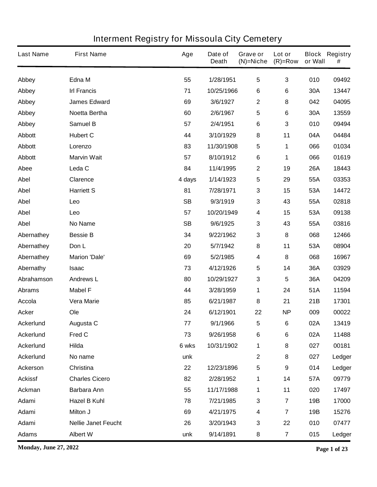| <b>Last Name</b> | <b>First Name</b>          | Age       | Date of<br><b>Death</b> | Grave or<br>$(N)$ =Niche | Lot or<br>$(R)=Row$     | or Wall    | <b>Block Registry</b><br># |
|------------------|----------------------------|-----------|-------------------------|--------------------------|-------------------------|------------|----------------------------|
| Abbey            | Edna M                     | 55        | 1/28/1951               | $\overline{\mathbf{5}}$  | 3                       | 010        | 09492                      |
| Abbey            | <b>Irl Francis</b>         | 71        | 10/25/1966              | 6                        | 6                       | 30A        | 13447                      |
| Abbey            | <b>James Edward</b>        | 69        | 3/6/1927                | $\boldsymbol{2}$         | 8                       | 042        | 04095                      |
| Abbey            | Noetta Bertha              | 60        | 2/6/1967                | 5                        | 6                       | 30A        | 13559                      |
| Abbey            | <b>Samuel B</b>            | 57        | 2/4/1951                | 6                        | 3                       | 010        | 09494                      |
| <b>Abbott</b>    | <b>Hubert C</b>            | 44        | 3/10/1929               | 8                        | 11                      | 04A        | 04484                      |
| <b>Abbott</b>    | Lorenzo                    | 83        | 11/30/1908              | 5                        | 1                       | 066        | 01034                      |
| <b>Abbott</b>    | <b>Marvin Wait</b>         | 57        | 8/10/1912               | 6                        | 1                       | 066        | 01619                      |
| Abee             | Leda <sub>C</sub>          | 84        | 11/4/1995               | $\boldsymbol{2}$         | 19                      | <b>26A</b> | 18443                      |
| <b>Abel</b>      | <b>Clarence</b>            | 4 days    | 1/14/1923               | 5                        | 29                      | 55A        | 03353                      |
| <b>Abel</b>      | <b>Harriett S</b>          | 81        | 7/28/1971               | 3                        | 15                      | 53A        | 14472                      |
| <b>Abel</b>      | Leo                        | <b>SB</b> | 9/3/1919                | $\mathbf 3$              | 43                      | 55A        | 02818                      |
| <b>Abel</b>      | Leo                        | 57        | 10/20/1949              | $\boldsymbol{4}$         | 15                      | 53A        | 09138                      |
| <b>Abel</b>      | No Name                    | <b>SB</b> | 9/6/1925                | $\mathbf 3$              | 43                      | 55A        | 03816                      |
| Abernathey       | <b>Bessie B</b>            | 34        | 9/22/1962               | 3                        | 8                       | 068        | 12466                      |
| Abernathey       | Don L                      | 20        | 5/7/1942                | 8                        | 11                      | 53A        | 08904                      |
| Abernathey       | <b>Marion 'Dale'</b>       | 69        | 5/2/1985                | $\boldsymbol{4}$         | 8                       | 068        | 16967                      |
| Abernathy        | <b>Isaac</b>               | 73        | 4/12/1926               | 5                        | 14                      | 36A        | 03929                      |
| Abrahamson       | <b>Andrews L</b>           | 80        | 10/29/1927              | $\mathbf 3$              | 5                       | 36A        | 04209                      |
| <b>Abrams</b>    | <b>Mabel F</b>             | 44        | 3/28/1959               | 1                        | 24                      | 51A        | 11594                      |
| <b>Accola</b>    | <b>Vera Marie</b>          | 85        | 6/21/1987               | 8                        | 21                      | 21B        | 17301                      |
| <b>Acker</b>     | Ole                        | 24        | 6/12/1901               | 22                       | <b>NP</b>               | 009        | 00022                      |
| <b>Ackerlund</b> | Augusta C                  | 77        | 9/1/1966                | 5                        | 6                       | 02A        | 13419                      |
| <b>Ackerlund</b> | Fred C                     | 73        | 9/26/1958               | $\bf 6$                  | 6                       | 02A        | 11488                      |
| <b>Ackerlund</b> | Hilda                      | 6 wks     | 10/31/1902              | 1                        | 8                       | 027        | 00181                      |
| <b>Ackerlund</b> | No name                    | unk       |                         | $\boldsymbol{2}$         | 8                       | 027        | Ledger                     |
| <b>Ackerson</b>  | Christina                  | 22        | 12/23/1896              | $\sqrt{5}$               | 9                       | 014        | Ledger                     |
| <b>Ackissf</b>   | <b>Charles Cicero</b>      | 82        | 2/28/1952               | 1                        | 14                      | 57A        | 09779                      |
| Ackman           | <b>Barbara Ann</b>         | 55        | 11/17/1988              | 1                        | 11                      | 020        | 17497                      |
| Adami            | <b>Hazel B Kuhl</b>        | 78        | 7/21/1985               | $\mathbf 3$              | $\overline{\mathbf{r}}$ | 19B        | 17000                      |
| Adami            | Milton J                   | 69        | 4/21/1975               | 4                        | $\overline{\mathbf{7}}$ | 19B        | 15276                      |
| Adami            | <b>Nellie Janet Feucht</b> | 26        | 3/20/1943               | $\mathbf 3$              | 22                      | 010        | 07477                      |
| <b>Adams</b>     | <b>Albert W</b>            | unk       | 9/14/1891               | 8                        | $\overline{\mathbf{7}}$ | 015        | Ledger                     |

**Monday, June 27, 2022 Page 1 of 23**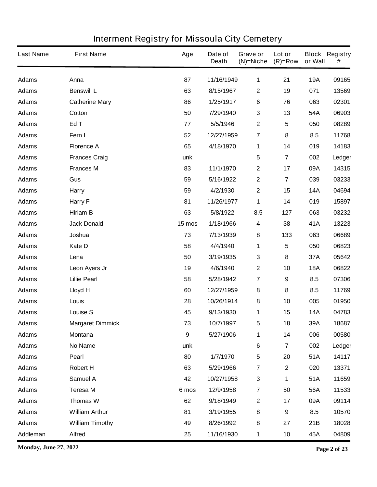| <b>Last Name</b> | <b>First Name</b>       | Age              | Date of<br><b>Death</b> | <b>Grave or</b><br>$(N)$ =Niche | Lot or<br>$(R)=Row$     | or Wall    | <b>Block Registry</b><br># |
|------------------|-------------------------|------------------|-------------------------|---------------------------------|-------------------------|------------|----------------------------|
| <b>Adams</b>     | Anna                    | 87               | 11/16/1949              | 1                               | 21                      | <b>19A</b> | 09165                      |
| <b>Adams</b>     | <b>Benswill L</b>       | 63               | 8/15/1967               | $\boldsymbol{2}$                | 19                      | 071        | 13569                      |
| <b>Adams</b>     | <b>Catherine Mary</b>   | 86               | 1/25/1917               | 6                               | 76                      | 063        | 02301                      |
| <b>Adams</b>     | Cotton                  | 50               | 7/29/1940               | $\mathbf 3$                     | 13                      | 54A        | 06903                      |
| <b>Adams</b>     | Ed T                    | 77               | 5/5/1946                | $\mathbf 2$                     | 5                       | 050        | 08289                      |
| <b>Adams</b>     | Fern L                  | 52               | 12/27/1959              | $\overline{\mathbf{7}}$         | 8                       | 8.5        | 11768                      |
| <b>Adams</b>     | <b>Florence A</b>       | 65               | 4/18/1970               | 1                               | 14                      | 019        | 14183                      |
| <b>Adams</b>     | <b>Frances Craig</b>    | unk              |                         | $\overline{\mathbf{5}}$         | $\overline{\mathbf{7}}$ | 002        | Ledger                     |
| <b>Adams</b>     | <b>Frances M</b>        | 83               | 11/1/1970               | $\mathbf 2$                     | 17                      | 09A        | 14315                      |
| <b>Adams</b>     | Gus                     | 59               | 5/16/1922               | $\mathbf 2$                     | $\overline{\mathbf{7}}$ | 039        | 03233                      |
| <b>Adams</b>     | <b>Harry</b>            | 59               | 4/2/1930                | $\mathbf 2$                     | 15                      | <b>14A</b> | 04694                      |
| <b>Adams</b>     | Harry F                 | 81               | 11/26/1977              | 1                               | 14                      | 019        | 15897                      |
| <b>Adams</b>     | <b>Hiriam B</b>         | 63               | 5/8/1922                | 8.5                             | 127                     | 063        | 03232                      |
| <b>Adams</b>     | <b>Jack Donald</b>      | 15 mos           | 1/18/1966               | 4                               | 38                      | 41A        | 13223                      |
| <b>Adams</b>     | Joshua                  | 73               | 7/13/1939               | 8                               | 133                     | 063        | 06689                      |
| <b>Adams</b>     | Kate D                  | 58               | 4/4/1940                | 1                               | 5                       | 050        | 06823                      |
| <b>Adams</b>     | Lena                    | 50               | 3/19/1935               | $\mathbf 3$                     | 8                       | 37A        | 05642                      |
| <b>Adams</b>     | Leon Ayers Jr           | 19               | 4/6/1940                | $\mathbf 2$                     | 10                      | <b>18A</b> | 06822                      |
| <b>Adams</b>     | <b>Lillie Pearl</b>     | 58               | 5/28/1942               | $\overline{\mathbf{7}}$         | 9                       | 8.5        | 07306                      |
| <b>Adams</b>     | <b>Lloyd H</b>          | 60               | 12/27/1959              | 8                               | 8                       | 8.5        | 11769                      |
| <b>Adams</b>     | Louis                   | 28               | 10/26/1914              | 8                               | 10                      | 005        | 01950                      |
| <b>Adams</b>     | <b>Louise S</b>         | 45               | 9/13/1930               | 1                               | 15                      | <b>14A</b> | 04783                      |
| <b>Adams</b>     | <b>Margaret Dimmick</b> | 73               | 10/7/1997               | 5                               | 18                      | 39A        | 18687                      |
| <b>Adams</b>     | <b>Montana</b>          | $\boldsymbol{9}$ | 5/27/1906               | 1                               | 14                      | 006        | 00580                      |
| <b>Adams</b>     | No Name                 | unk              |                         | 6                               | $\overline{\mathbf{7}}$ | 002        | Ledger                     |
| <b>Adams</b>     | Pearl                   | 80               | 1/7/1970                | $\overline{\mathbf{5}}$         | 20                      | 51A        | 14117                      |
| <b>Adams</b>     | <b>Robert H</b>         | 63               | 5/29/1966               | $\overline{\mathbf{7}}$         | $\overline{\mathbf{2}}$ | 020        | 13371                      |
| <b>Adams</b>     | <b>Samuel A</b>         | 42               | 10/27/1958              | $\mathbf{3}$                    | 1                       | 51A        | 11659                      |
| <b>Adams</b>     | <b>Teresa M</b>         | 6 mos            | 12/9/1958               | $\overline{\mathbf{7}}$         | 50                      | 56A        | 11533                      |
| <b>Adams</b>     | <b>Thomas W</b>         | 62               | 9/18/1949               | $\mathbf 2$                     | 17                      | 09A        | 09114                      |
| <b>Adams</b>     | <b>William Arthur</b>   | 81               | 3/19/1955               | 8                               | 9                       | 8.5        | 10570                      |
| <b>Adams</b>     | <b>William Timothy</b>  | 49               | 8/26/1992               | 8                               | 27                      | 21B        | 18028                      |
| Addleman         | <b>Alfred</b>           | 25               | 11/16/1930              | $\mathbf 1$                     | 10                      | 45A        | 04809                      |

**Monday, June 27, 2022 Page 2 of 23**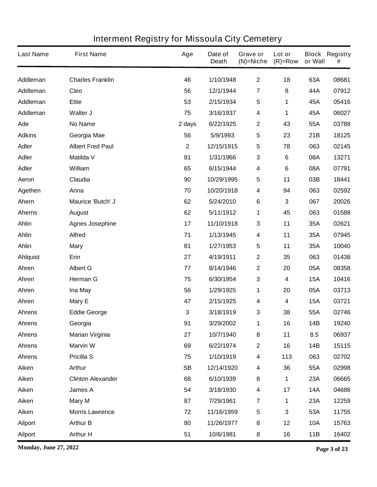| <b>Last Name</b> | <b>First Name</b>        | Age         | Date of<br><b>Death</b> | Grave or<br>$(N)$ =Niche | Lot or<br>$(R)=Row$ | or Wall    | <b>Block Registry</b><br># |
|------------------|--------------------------|-------------|-------------------------|--------------------------|---------------------|------------|----------------------------|
| Addleman         | <b>Charles Franklin</b>  | 46          | 1/10/1948               | $\mathbf{2}$             | 18                  | 63A        | 08681                      |
| Addleman         | Cleo                     | 56          | 12/1/1944               | 7                        | 8                   | 44A        | 07912                      |
| Addleman         | <b>Ettie</b>             | 53          | 2/15/1934               | $\overline{\mathbf{5}}$  | 1                   | 45A        | 05416                      |
| Addleman         | Walter J                 | 75          | 3/16/1937               | $\boldsymbol{4}$         | 1                   | 45A        | 06027                      |
| Ade              | <b>No Name</b>           | 2 days      | 6/22/1925               | $\mathbf{2}$             | 43                  | 55A        | 03788                      |
| <b>Adkins</b>    | Georgia Mae              | 56          | 5/9/1993                | $\sqrt{5}$               | 23                  | 21B        | 18125                      |
| <b>Adler</b>     | <b>Albert Fred Paul</b>  | $\mathbf 2$ | 12/15/1915              | $\overline{\mathbf{5}}$  | 78                  | 063        | 02145                      |
| <b>Adler</b>     | <b>Matilda V</b>         | 81          | 1/31/1966               | $\mathbf 3$              | 6                   | 08A        | 13271                      |
| <b>Adler</b>     | William                  | 65          | 6/15/1944               | $\boldsymbol{4}$         | 6                   | 08A        | 07791                      |
| Aeron            | Claudia                  | 90          | 10/29/1995              | $\overline{\mathbf{5}}$  | 11                  | 03B        | 18441                      |
| Agethen          | Anna                     | 70          | 10/20/1918              | $\boldsymbol{4}$         | 94                  | 063        | 02592                      |
| Ahern            | Maurice 'Butch' J        | 62          | 5/24/2010               | 6                        | 3                   | 067        | 20026                      |
| <b>Aherns</b>    | <b>August</b>            | 62          | 5/11/1912               | 1                        | 45                  | 063        | 01588                      |
| <b>Ahlin</b>     | <b>Agnes Josephine</b>   | 17          | 11/10/1918              | $\mathbf{3}$             | 11                  | 35A        | 02621                      |
| <b>Ahlin</b>     | <b>Alfred</b>            | 71          | 1/13/1945               | 4                        | 11                  | 35A        | 07945                      |
| <b>Ahlin</b>     | <b>Mary</b>              | 81          | 1/27/1953               | 5                        | 11                  | 35A        | 10040                      |
| Ahlquist         | Erin                     | 27          | 4/19/1911               | $\boldsymbol{2}$         | 35                  | 063        | 01438                      |
| Ahren            | <b>Albert G</b>          | 77          | 8/14/1946               | $\boldsymbol{2}$         | 20                  | 05A        | 08358                      |
| Ahren            | <b>Herman G</b>          | 75          | 6/30/1954               | $\mathbf{3}$             | 4                   | <b>15A</b> | 10416                      |
| Ahren            | Ina May                  | 56          | 1/29/1925               | 1                        | 20                  | 05A        | 03713                      |
| Ahren            | Mary E                   | 47          | 2/15/1925               | 4                        | 4                   | <b>15A</b> | 03721                      |
| <b>Ahrens</b>    | <b>Eddie George</b>      | 3           | 3/18/1919               | 3                        | 38                  | 55A        | 02746                      |
| <b>Ahrens</b>    | Georgia                  | 91          | 3/29/2002               | 1                        | 16                  | 14B        | 19240                      |
| <b>Ahrens</b>    | <b>Marian Virginia</b>   | 27          | 10/7/1940               | 8                        | 11                  | 8.5        | 06937                      |
| <b>Ahrens</b>    | <b>Marvin W</b>          | 69          | 6/22/1974               | $\mathbf 2$              | 16                  | 14B        | 15115                      |
| <b>Ahrens</b>    | <b>Pricilla S</b>        | 75          | 1/10/1919               | $\overline{\mathbf{4}}$  | 113                 | 063        | 02702                      |
| Aiken            | <b>Arthur</b>            | <b>SB</b>   | 12/14/1920              | $\boldsymbol{4}$         | 36                  | 55A        | 02998                      |
| Aiken            | <b>Clinton Alexander</b> | 68          | 6/10/1939               | 8                        | 1                   | 23A        | 06665                      |
| Aiken            | James A                  | 54          | 3/18/1930               | $\overline{\mathbf{4}}$  | 17                  | <b>14A</b> | 04686                      |
| Aiken            | <b>Mary M</b>            | 87          | 7/29/1961               | $\overline{7}$           | 1                   | 23A        | 12259                      |
| Aiken            | <b>Morris Lawrence</b>   | 72          | 11/16/1959              | $\sqrt{5}$               | 3                   | 53A        | 11755                      |
| <b>Ailport</b>   | <b>Arthur B</b>          | 80          | 11/26/1977              | 8                        | 12                  | <b>10A</b> | 15763                      |
| <b>Ailport</b>   | <b>Arthur H</b>          | 51          | 10/6/1981               | 8                        | 16                  | 11B        | 16402                      |

**Monday, June 27, 2022 Page 3 of 23**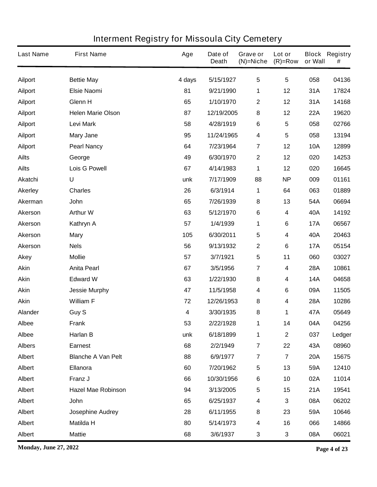| <b>Last Name</b> | <b>First Name</b>         | Age    | Date of<br><b>Death</b> | Grave or<br>$(N)$ =Niche | Lot or<br>$(R)=Row$     | or Wall    | <b>Block Registry</b><br># |
|------------------|---------------------------|--------|-------------------------|--------------------------|-------------------------|------------|----------------------------|
| <b>Ailport</b>   | <b>Bettie May</b>         | 4 days | 5/15/1927               | $5\phantom{.0}$          | $5\phantom{.0}$         | 058        | 04136                      |
| <b>Ailport</b>   | <b>Elsie Naomi</b>        | 81     | 9/21/1990               | 1                        | 12                      | 31A        | 17824                      |
| <b>Ailport</b>   | Glenn H                   | 65     | 1/10/1970               | $\mathbf{2}$             | 12                      | 31A        | 14168                      |
| <b>Ailport</b>   | <b>Helen Marie Olson</b>  | 87     | 12/19/2005              | 8                        | 12                      | <b>22A</b> | 19620                      |
| <b>Ailport</b>   | <b>Levi Mark</b>          | 58     | 4/28/1919               | 6                        | 5                       | 058        | 02766                      |
| <b>Ailport</b>   | <b>Mary Jane</b>          | 95     | 11/24/1965              | $\overline{\mathbf{4}}$  | 5                       | 058        | 13194                      |
| <b>Ailport</b>   | <b>Pearl Nancy</b>        | 64     | 7/23/1964               | $\overline{7}$           | 12                      | <b>10A</b> | 12899                      |
| <b>Ailts</b>     | George                    | 49     | 6/30/1970               | $\boldsymbol{2}$         | 12                      | 020        | 14253                      |
| <b>Ailts</b>     | <b>Lois G Powell</b>      | 67     | 4/14/1983               | 1                        | 12                      | 020        | 16645                      |
| <b>Akatchi</b>   | U                         | unk    | 7/17/1909               | 88                       | <b>NP</b>               | 009        | 01161                      |
| <b>Akerley</b>   | <b>Charles</b>            | 26     | 6/3/1914                | 1                        | 64                      | 063        | 01889                      |
| Akerman          | <b>John</b>               | 65     | 7/26/1939               | 8                        | 13                      | 54A        | 06694                      |
| Akerson          | <b>Arthur W</b>           | 63     | 5/12/1970               | 6                        | 4                       | 40A        | 14192                      |
| Akerson          | Kathryn A                 | 57     | 1/4/1939                | 1                        | 6                       | <b>17A</b> | 06567                      |
| Akerson          | <b>Mary</b>               | 105    | 6/30/2011               | $5\phantom{.0}$          | 4                       | 40A        | 20463                      |
| <b>Akerson</b>   | <b>Nels</b>               | 56     | 9/13/1932               | $\boldsymbol{2}$         | 6                       | <b>17A</b> | 05154                      |
| <b>Akey</b>      | <b>Mollie</b>             | 57     | 3/7/1921                | $5\phantom{.0}$          | 11                      | 060        | 03027                      |
| <b>Akin</b>      | <b>Anita Pearl</b>        | 67     | 3/5/1956                | 7                        | 4                       | <b>28A</b> | 10861                      |
| <b>Akin</b>      | <b>Edward W</b>           | 63     | 1/22/1930               | 8                        | 4                       | <b>14A</b> | 04658                      |
| <b>Akin</b>      | <b>Jessie Murphy</b>      | 47     | 11/5/1958               | 4                        | 6                       | 09A        | 11505                      |
| <b>Akin</b>      | <b>William F</b>          | 72     | 12/26/1953              | 8                        | 4                       | <b>28A</b> | 10286                      |
| Alander          | Guy S                     | 4      | 3/30/1935               | 8                        | 1                       | 47A        | 05649                      |
| <b>Albee</b>     | <b>Frank</b>              | 53     | 2/22/1928               | 1                        | 14                      | 04A        | 04256                      |
| <b>Albee</b>     | Harlan B                  | unk    | 6/18/1899               | 1                        | $\mathbf 2$             | 037        | Ledger                     |
| <b>Albers</b>    | <b>Earnest</b>            | 68     | 2/2/1949                | $\overline{7}$           | 22                      | 43A        | 08960                      |
| Albert           | <b>Blanche A Van Pelt</b> | 88     | 6/9/1977                | $\overline{7}$           | $\overline{\mathbf{7}}$ | <b>20A</b> | 15675                      |
| <b>Albert</b>    | Ellanora                  | 60     | 7/20/1962               | ${\bf 5}$                | 13                      | 59A        | 12410                      |
| <b>Albert</b>    | Franz J                   | 66     | 10/30/1956              | 6                        | 10                      | 02A        | 11014                      |
| <b>Albert</b>    | <b>Hazel Mae Robinson</b> | 94     | 3/13/2005               | $\sqrt{5}$               | 15                      | 21A        | 19541                      |
| <b>Albert</b>    | John                      | 65     | 6/25/1937               | $\boldsymbol{4}$         | 3                       | 08A        | 06202                      |
| Albert           | Josephine Audrey          | 28     | 6/11/1955               | 8                        | 23                      | 59A        | 10646                      |
| <b>Albert</b>    | <b>Matilda H</b>          | 80     | 5/14/1973               | $\boldsymbol{4}$         | 16                      | 066        | 14866                      |
| Albert           | <b>Mattie</b>             | 68     | 3/6/1937                | $\mathbf{3}$             | 3                       | 08A        | 06021                      |

**Monday, June 27, 2022 Page 4 of 23**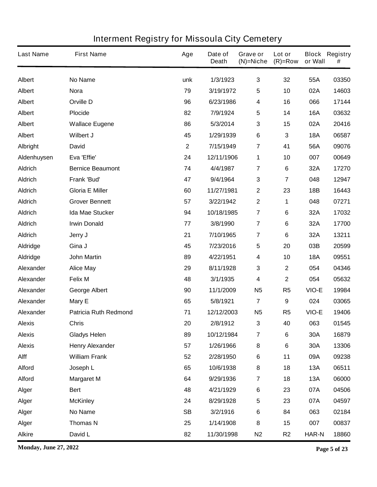| <b>Last Name</b> | <b>First Name</b>            | Age         | Date of<br><b>Death</b> | Grave or<br>$(N)$ =Niche | Lot or<br>$(R)=Row$ | or Wall      | <b>Block Registry</b><br># |
|------------------|------------------------------|-------------|-------------------------|--------------------------|---------------------|--------------|----------------------------|
| <b>Albert</b>    | No Name                      | unk         | 1/3/1923                | $\mathbf{3}$             | 32                  | 55A          | 03350                      |
| <b>Albert</b>    | <b>Nora</b>                  | 79          | 3/19/1972               | 5                        | 10                  | 02A          | 14603                      |
| <b>Albert</b>    | <b>Orville D</b>             | 96          | 6/23/1986               | $\boldsymbol{4}$         | 16                  | 066          | 17144                      |
| <b>Albert</b>    | <b>Plocide</b>               | 82          | 7/9/1924                | $\sqrt{5}$               | 14                  | <b>16A</b>   | 03632                      |
| <b>Albert</b>    | <b>Wallace Eugene</b>        | 86          | 5/3/2014                | 3                        | 15                  | 02A          | 20416                      |
| <b>Albert</b>    | Wilbert J                    | 45          | 1/29/1939               | 6                        | 3                   | <b>18A</b>   | 06587                      |
| Albright         | <b>David</b>                 | $\mathbf 2$ | 7/15/1949               | 7                        | 41                  | 56A          | 09076                      |
| Aldenhuysen      | Eva 'Effie'                  | 24          | 12/11/1906              | 1                        | 10                  | 007          | 00649                      |
| <b>Aldrich</b>   | <b>Bernice Beaumont</b>      | 74          | 4/4/1987                | 7                        | 6                   | 32A          | 17270                      |
| <b>Aldrich</b>   | <b>Frank 'Bud'</b>           | 47          | 9/4/1964                | $\mathbf 3$              | 7                   | 048          | 12947                      |
| <b>Aldrich</b>   | <b>Gloria E Miller</b>       | 60          | 11/27/1981              | $\boldsymbol{2}$         | 23                  | 18B          | 16443                      |
| <b>Aldrich</b>   | <b>Grover Bennett</b>        | 57          | 3/22/1942               | $\boldsymbol{2}$         | 1                   | 048          | 07271                      |
| <b>Aldrich</b>   | <b>Ida Mae Stucker</b>       | 94          | 10/18/1985              | $\overline{7}$           | 6                   | 32A          | 17032                      |
| <b>Aldrich</b>   | <b>Irwin Donald</b>          | 77          | 3/8/1990                | $\overline{7}$           | 6                   | 32A          | 17700                      |
| <b>Aldrich</b>   | Jerry J                      | 21          | 7/10/1965               | 7                        | 6                   | 32A          | 13211                      |
| <b>Aldridge</b>  | Gina J                       | 45          | 7/23/2016               | $\sqrt{5}$               | 20                  | 03B          | 20599                      |
| Aldridge         | <b>John Martin</b>           | 89          | 4/22/1951               | $\boldsymbol{4}$         | 10                  | <b>18A</b>   | 09551                      |
| Alexander        | <b>Alice May</b>             | 29          | 8/11/1928               | 3                        | $\mathbf 2$         | 054          | 04346                      |
| Alexander        | <b>Felix M</b>               | 48          | 3/1/1935                | 4                        | $\mathbf 2$         | 054          | 05632                      |
| Alexander        | <b>George Albert</b>         | 90          | 11/1/2009               | <b>N5</b>                | R <sub>5</sub>      | VIO-E        | 19984                      |
| Alexander        | Mary E                       | 65          | 5/8/1921                | 7                        | 9                   | 024          | 03065                      |
| Alexander        | <b>Patricia Ruth Redmond</b> | 71          | 12/12/2003              | <b>N5</b>                | R <sub>5</sub>      | VIO-E        | 19406                      |
| <b>Alexis</b>    | <b>Chris</b>                 | 20          | 2/8/1912                | 3                        | 40                  | 063          | 01545                      |
| <b>Alexis</b>    | <b>Gladys Helen</b>          | 89          | 10/12/1984              | $\overline{7}$           | 6                   | <b>30A</b>   | 16879                      |
| <b>Alexis</b>    | <b>Henry Alexander</b>       | 57          | 1/26/1966               | ${\bf 8}$                | 6                   | 30A          | 13306                      |
| Alff             | <b>William Frank</b>         | 52          | 2/28/1950               | $\bf 6$                  | 11                  | 09A          | 09238                      |
| <b>Alford</b>    | Joseph L                     | 65          | 10/6/1938               | ${\bf 8}$                | 18                  | 13A          | 06511                      |
| <b>Alford</b>    | <b>Margaret M</b>            | 64          | 9/29/1936               | $\overline{\mathbf{r}}$  | 18                  | <b>13A</b>   | 06000                      |
| Alger            | <b>Bert</b>                  | 48          | 4/21/1929               | $\bf 6$                  | 23                  | 07A          | 04506                      |
| Alger            | <b>McKinley</b>              | 24          | 8/29/1928               | ${\bf 5}$                | 23                  | 07A          | 04597                      |
| Alger            | No Name                      | <b>SB</b>   | 3/2/1916                | $\bf 6$                  | 84                  | 063          | 02184                      |
| Alger            | <b>Thomas N</b>              | 25          | 1/14/1908               | 8                        | 15                  | 007          | 00837                      |
| <b>Alkire</b>    | David L                      | 82          | 11/30/1998              | N <sub>2</sub>           | R <sub>2</sub>      | <b>HAR-N</b> | 18860                      |

**Monday, June 27, 2022 Page 5 of 23**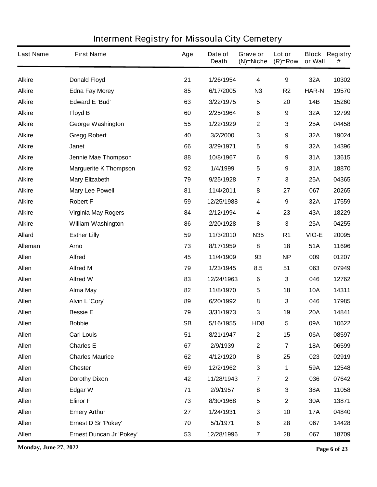| <b>Last Name</b> | <b>First Name</b>            | Age       | Date of<br><b>Death</b> | Grave or<br>$(N)$ =Niche | Lot or<br>$(R)=Row$     | or Wall      | <b>Block Registry</b><br># |
|------------------|------------------------------|-----------|-------------------------|--------------------------|-------------------------|--------------|----------------------------|
| <b>Alkire</b>    | <b>Donald Floyd</b>          | 21        | 1/26/1954               | $\overline{\mathbf{4}}$  | $\boldsymbol{9}$        | 32A          | 10302                      |
| <b>Alkire</b>    | <b>Edna Fay Morey</b>        | 85        | 6/17/2005               | N3                       | R <sub>2</sub>          | <b>HAR-N</b> | 19570                      |
| <b>Alkire</b>    | <b>Edward E 'Bud'</b>        | 63        | 3/22/1975               | 5                        | 20                      | 14B          | 15260                      |
| <b>Alkire</b>    | <b>Floyd B</b>               | 60        | 2/25/1964               | $\bf 6$                  | 9                       | 32A          | 12799                      |
| <b>Alkire</b>    | <b>George Washington</b>     | 55        | 1/22/1929               | $\boldsymbol{2}$         | 3                       | 25A          | 04458                      |
| <b>Alkire</b>    | <b>Gregg Robert</b>          | 40        | 3/2/2000                | 3                        | 9                       | 32A          | 19024                      |
| <b>Alkire</b>    | <b>Janet</b>                 | 66        | 3/29/1971               | 5                        | 9                       | 32A          | 14396                      |
| <b>Alkire</b>    | Jennie Mae Thompson          | 88        | 10/8/1967               | $\bf 6$                  | 9                       | 31A          | 13615                      |
| <b>Alkire</b>    | <b>Marguerite K Thompson</b> | 92        | 1/4/1999                | 5                        | 9                       | 31A          | 18870                      |
| <b>Alkire</b>    | <b>Mary Elizabeth</b>        | 79        | 9/25/1928               | $\overline{7}$           | 3                       | 25A          | 04365                      |
| <b>Alkire</b>    | <b>Mary Lee Powell</b>       | 81        | 11/4/2011               | 8                        | 27                      | 067          | 20265                      |
| <b>Alkire</b>    | <b>Robert F</b>              | 59        | 12/25/1988              | 4                        | 9                       | 32A          | 17559                      |
| <b>Alkire</b>    | <b>Virginia May Rogers</b>   | 84        | 2/12/1994               | 4                        | 23                      | 43A          | 18229                      |
| <b>Alkire</b>    | <b>William Washington</b>    | 86        | 2/20/1928               | 8                        | 3                       | <b>25A</b>   | 04255                      |
| <b>Allard</b>    | <b>Esther Lilly</b>          | 59        | 11/3/2010               | <b>N35</b>               | R <sub>1</sub>          | VIO-E        | 20095                      |
| Alleman          | Arno                         | 73        | 8/17/1959               | 8                        | 18                      | 51A          | 11696                      |
| Allen            | <b>Alfred</b>                | 45        | 11/4/1909               | 93                       | <b>NP</b>               | 009          | 01207                      |
| Allen            | <b>Alfred M</b>              | 79        | 1/23/1945               | 8.5                      | 51                      | 063          | 07949                      |
| Allen            | <b>Alfred W</b>              | 83        | 12/24/1963              | $\bf 6$                  | 3                       | 046          | 12762                      |
| Allen            | <b>Alma May</b>              | 82        | 11/8/1970               | 5                        | 18                      | <b>10A</b>   | 14311                      |
| Allen            | Alvin L 'Cory'               | 89        | 6/20/1992               | 8                        | 3                       | 046          | 17985                      |
| Allen            | <b>Bessie E</b>              | 79        | 3/31/1973               | 3                        | 19                      | <b>20A</b>   | 14841                      |
| Allen            | <b>Bobbie</b>                | <b>SB</b> | 5/16/1955               | HD <sub>8</sub>          | 5                       | 09A          | 10622                      |
| <b>Allen</b>     | <b>Carl Louis</b>            | 51        | 8/21/1947               | $\boldsymbol{2}$         | 15                      | 06A          | 08597                      |
| Allen            | <b>Charles E</b>             | 67        | 2/9/1939                | $\boldsymbol{2}$         | $\overline{\mathbf{7}}$ | <b>18A</b>   | 06599                      |
| Allen            | <b>Charles Maurice</b>       | 62        | 4/12/1920               | 8                        | 25                      | 023          | 02919                      |
| Allen            | <b>Chester</b>               | 69        | 12/2/1962               | ${\bf 3}$                | 1                       | 59A          | 12548                      |
| <b>Allen</b>     | <b>Dorothy Dixon</b>         | 42        | 11/28/1943              | $\overline{\mathbf{r}}$  | $\mathbf 2$             | 036          | 07642                      |
| Allen            | <b>Edgar W</b>               | 71        | 2/9/1957                | 8                        | 3                       | 38A          | 11058                      |
| Allen            | <b>Elinor F</b>              | 73        | 8/30/1968               | 5                        | $\mathbf 2$             | 30A          | 13871                      |
| Allen            | <b>Emery Arthur</b>          | 27        | 1/24/1931               | $\mathbf 3$              | 10                      | <b>17A</b>   | 04840                      |
| <b>Allen</b>     | Ernest D Sr 'Pokey'          | 70        | 5/1/1971                | $\bf 6$                  | 28                      | 067          | 14428                      |
| Allen            | Ernest Duncan Jr 'Pokey'     | 53        | 12/28/1996              | $\overline{\mathbf{r}}$  | 28                      | 067          | 18709                      |

**Monday, June 27, 2022 Page 6 of 23**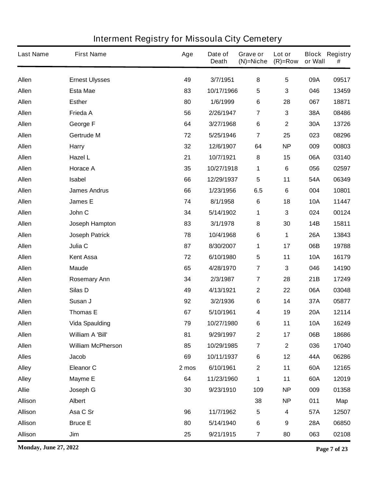| <b>Last Name</b> | <b>First Name</b>        | Age   | Date of<br><b>Death</b> | Grave or<br>$(N)$ =Niche | Lot or<br>$(R)=Row$     | or Wall    | <b>Block Registry</b><br># |
|------------------|--------------------------|-------|-------------------------|--------------------------|-------------------------|------------|----------------------------|
| <b>Allen</b>     | <b>Ernest Ulysses</b>    | 49    | 3/7/1951                | 8                        | 5                       | 09A        | 09517                      |
| Allen            | <b>Esta Mae</b>          | 83    | 10/17/1966              | 5                        | 3                       | 046        | 13459                      |
| Allen            | <b>Esther</b>            | 80    | 1/6/1999                | 6                        | 28                      | 067        | 18871                      |
| Allen            | Frieda A                 | 56    | 2/26/1947               | $\overline{\mathbf{7}}$  | 3                       | 38A        | 08486                      |
| Allen            | George F                 | 64    | 3/27/1968               | 6                        | $\mathbf 2$             | 30A        | 13726                      |
| Allen            | Gertrude M               | 72    | 5/25/1946               | $\overline{\mathbf{7}}$  | 25                      | 023        | 08296                      |
| Allen            | <b>Harry</b>             | 32    | 12/6/1907               | 64                       | <b>NP</b>               | 009        | 00803                      |
| Allen            | Hazel L                  | 21    | 10/7/1921               | 8                        | 15                      | 06A        | 03140                      |
| Allen            | <b>Horace A</b>          | 35    | 10/27/1918              | 1                        | 6                       | 056        | 02597                      |
| <b>Allen</b>     | Isabel                   | 66    | 12/29/1937              | 5                        | 11                      | 54A        | 06349                      |
| Allen            | <b>James Andrus</b>      | 66    | 1/23/1956               | 6.5                      | 6                       | 004        | 10801                      |
| Allen            | James E                  | 74    | 8/1/1958                | 6                        | 18                      | <b>10A</b> | 11447                      |
| Allen            | John C                   | 34    | 5/14/1902               | 1                        | 3                       | 024        | 00124                      |
| <b>Allen</b>     | Joseph Hampton           | 83    | 3/1/1978                | 8                        | 30                      | 14B        | 15811                      |
| Allen            | <b>Joseph Patrick</b>    | 78    | 10/4/1968               | 6                        | 1                       | <b>26A</b> | 13843                      |
| Allen            | Julia C                  | 87    | 8/30/2007               | 1                        | 17                      | 06B        | 19788                      |
| Allen            | <b>Kent Assa</b>         | 72    | 6/10/1980               | 5                        | 11                      | <b>10A</b> | 16179                      |
| Allen            | <b>Maude</b>             | 65    | 4/28/1970               | $\overline{\mathbf{7}}$  | 3                       | 046        | 14190                      |
| Allen            | <b>Rosemary Ann</b>      | 34    | 2/3/1987                | $\overline{\mathbf{7}}$  | 28                      | 21B        | 17249                      |
| Allen            | Silas D                  | 49    | 4/13/1921               | $\mathbf 2$              | 22                      | 06A        | 03048                      |
| Allen            | Susan J                  | 92    | 3/2/1936                | 6                        | 14                      | 37A        | 05877                      |
| Allen            | <b>Thomas E</b>          | 67    | 5/10/1961               | 4                        | 19                      | <b>20A</b> | 12114                      |
| <b>Allen</b>     | <b>Vida Spaulding</b>    | 79    | 10/27/1980              | 6                        | 11                      | <b>10A</b> | 16249                      |
| <b>Allen</b>     | William A 'Bill'         | 81    | 9/29/1997               | $\boldsymbol{2}$         | 17                      | 06B        | 18686                      |
| Allen            | <b>William McPherson</b> | 85    | 10/29/1985              | $\overline{\mathbf{7}}$  | $\overline{\mathbf{2}}$ | 036        | 17040                      |
| <b>Alles</b>     | <b>Jacob</b>             | 69    | 10/11/1937              | 6                        | 12                      | 44A        | 06286                      |
| <b>Alley</b>     | <b>Eleanor C</b>         | 2 mos | 6/10/1961               | $\mathbf 2$              | 11                      | 60A        | 12165                      |
| <b>Alley</b>     | <b>Mayme E</b>           | 64    | 11/23/1960              | 1                        | 11                      | 60A        | 12019                      |
| <b>Allie</b>     | Joseph G                 | 30    | 9/23/1910               | 109                      | <b>NP</b>               | 009        | 01358                      |
| <b>Allison</b>   | <b>Albert</b>            |       |                         | 38                       | <b>NP</b>               | 011        | Map                        |
| <b>Allison</b>   | Asa C Sr                 | 96    | 11/7/1962               | 5                        | 4                       | 57A        | 12507                      |
| <b>Allison</b>   | <b>Bruce E</b>           | 80    | 5/14/1940               | 6                        | 9                       | <b>28A</b> | 06850                      |
| <b>Allison</b>   | Jim                      | 25    | 9/21/1915               | $\overline{\mathbf{r}}$  | 80                      | 063        | 02108                      |

**Monday, June 27, 2022 Page 7 of 23**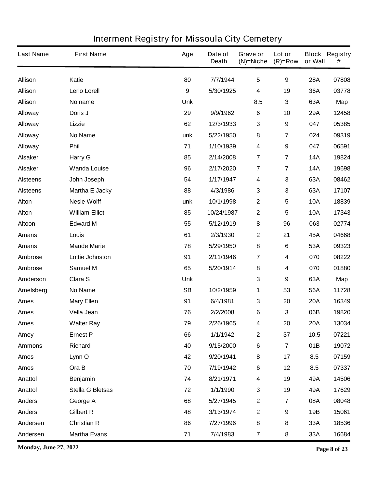| <b>Last Name</b> | <b>First Name</b>     | Age              | Date of<br><b>Death</b> | Grave or<br>$(N)$ =Niche | Lot or<br>$(R)=Row$     | or Wall    | <b>Block Registry</b><br># |
|------------------|-----------------------|------------------|-------------------------|--------------------------|-------------------------|------------|----------------------------|
| <b>Allison</b>   | Katie                 | 80               | 7/7/1944                | $5\phantom{.0}$          | 9                       | <b>28A</b> | 07808                      |
| <b>Allison</b>   | Lerlo Lorell          | $\boldsymbol{9}$ | 5/30/1925               | 4                        | 19                      | 36A        | 03778                      |
| <b>Allison</b>   | No name               | <b>Unk</b>       |                         | 8.5                      | 3                       | 63A        | Map                        |
| <b>Alloway</b>   | Doris J               | 29               | 9/9/1962                | $\bf 6$                  | 10                      | 29A        | 12458                      |
| <b>Alloway</b>   | Lizzie                | 62               | 12/3/1933               | $\mathbf 3$              | 9                       | 047        | 05385                      |
| <b>Alloway</b>   | <b>No Name</b>        | unk              | 5/22/1950               | 8                        | $\overline{\mathbf{7}}$ | 024        | 09319                      |
| <b>Alloway</b>   | Phil                  | 71               | 1/10/1939               | 4                        | 9                       | 047        | 06591                      |
| <b>Alsaker</b>   | <b>Harry G</b>        | 85               | 2/14/2008               | $\overline{7}$           | $\overline{\mathbf{7}}$ | <b>14A</b> | 19824                      |
| <b>Alsaker</b>   | <b>Wanda Louise</b>   | 96               | 2/17/2020               | $\overline{7}$           | $\overline{\mathbf{7}}$ | <b>14A</b> | 19698                      |
| <b>Alsteens</b>  | John Joseph           | 54               | 1/17/1947               | 4                        | 3                       | 63A        | 08462                      |
| <b>Alsteens</b>  | Martha E Jacky        | 88               | 4/3/1986                | $\mathbf 3$              | 3                       | 63A        | 17107                      |
| Alton            | <b>Nesie Wolff</b>    | unk              | 10/1/1998               | $\mathbf 2$              | 5                       | <b>10A</b> | 18839                      |
| <b>Alton</b>     | <b>William Elliot</b> | 85               | 10/24/1987              | $\mathbf 2$              | 5                       | <b>10A</b> | 17343                      |
| Altoon           | <b>Edward M</b>       | 55               | 5/12/1919               | ${\bf 8}$                | 96                      | 063        | 02774                      |
| <b>Amans</b>     | Louis                 | 61               | 2/3/1930                | $\mathbf 2$              | 21                      | 45A        | 04668                      |
| <b>Amans</b>     | <b>Maude Marie</b>    | 78               | 5/29/1950               | ${\bf 8}$                | 6                       | 53A        | 09323                      |
| Ambrose          | Lottie Johnston       | 91               | 2/11/1946               | $\overline{7}$           | 4                       | 070        | 08222                      |
| Ambrose          | <b>Samuel M</b>       | 65               | 5/20/1914               | 8                        | 4                       | 070        | 01880                      |
| Amderson         | Clara S               | <b>Unk</b>       |                         | $\mathbf{3}$             | 9                       | 63A        | Map                        |
| Amelsberg        | No Name               | <b>SB</b>        | 10/2/1959               | 1                        | 53                      | 56A        | 11728                      |
| <b>Ames</b>      | <b>Mary Ellen</b>     | 91               | 6/4/1981                | $\mathbf{3}$             | 20                      | <b>20A</b> | 16349                      |
| <b>Ames</b>      | Vella Jean            | 76               | 2/2/2008                | 6                        | 3                       | 06B        | 19820                      |
| <b>Ames</b>      | <b>Walter Ray</b>     | 79               | 2/26/1965               | 4                        | 20                      | <b>20A</b> | 13034                      |
| Amey             | <b>Ernest P</b>       | 66               | 1/1/1942                | $\mathbf 2$              | 37                      | 10.5       | 07221                      |
| <b>Ammons</b>    | <b>Richard</b>        | 40               | 9/15/2000               | 6                        | $\overline{7}$          | 01B        | 19072                      |
| <b>Amos</b>      | Lynn O                | 42               | 9/20/1941               | 8                        | 17                      | 8.5        | 07159                      |
| <b>Amos</b>      | Ora B                 | 70               | 7/19/1942               | 6                        | 12                      | 8.5        | 07337                      |
| Anattol          | <b>Benjamin</b>       | 74               | 8/21/1971               | 4                        | 19                      | 49A        | 14506                      |
| Anattol          | Stella G Bletsas      | 72               | 1/1/1990                | $\mathbf 3$              | 19                      | 49A        | 17629                      |
| <b>Anders</b>    | George A              | 68               | 5/27/1945               | $\mathbf 2$              | $\overline{\mathbf{7}}$ | 08A        | 08048                      |
| <b>Anders</b>    | <b>Gilbert R</b>      | 48               | 3/13/1974               | $\mathbf 2$              | 9                       | 19B        | 15061                      |
| Andersen         | <b>Christian R</b>    | 86               | 7/27/1996               | 8                        | 8                       | 33A        | 18536                      |
| Andersen         | <b>Martha Evans</b>   | 71               | 7/4/1983                | $\overline{\mathbf{7}}$  | 8                       | 33A        | 16684                      |

**Monday, June 27, 2022 Page 8 of 23**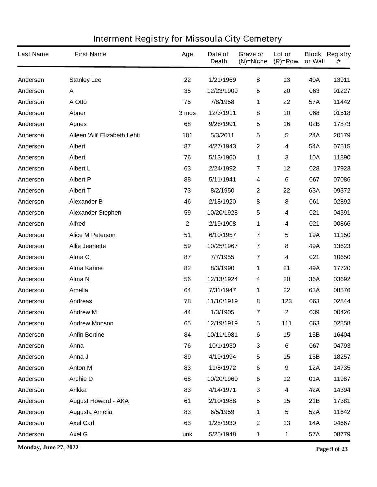| <b>Last Name</b> | <b>First Name</b>             | Age          | Date of<br><b>Death</b> | Grave or<br>$(N)$ =Niche | Lot or<br>$(R)=Row$     | or Wall    | <b>Block Registry</b><br># |
|------------------|-------------------------------|--------------|-------------------------|--------------------------|-------------------------|------------|----------------------------|
| Andersen         | <b>Stanley Lee</b>            | 22           | 1/21/1969               | 8                        | 13                      | 40A        | 13911                      |
| Anderson         | A                             | 35           | 12/23/1909              | 5                        | 20                      | 063        | 01227                      |
| Anderson         | A Otto                        | 75           | 7/8/1958                | 1                        | 22                      | 57A        | 11442                      |
| Anderson         | Abner                         | 3 mos        | 12/3/1911               | 8                        | 10                      | 068        | 01518                      |
| Anderson         | <b>Agnes</b>                  | 68           | 9/26/1991               | 5                        | 16                      | 02B        | 17873                      |
| Anderson         | Aileen 'Aili' Elizabeth Lehti | 101          | 5/3/2011                | 5                        | 5                       | 24A        | 20179                      |
| Anderson         | <b>Albert</b>                 | 87           | 4/27/1943               | $\mathbf 2$              | 4                       | 54A        | 07515                      |
| Anderson         | <b>Albert</b>                 | 76           | 5/13/1960               | $\mathbf 1$              | 3                       | <b>10A</b> | 11890                      |
| Anderson         | <b>Albert L</b>               | 63           | 2/24/1992               | $\overline{7}$           | 12                      | 028        | 17923                      |
| Anderson         | <b>Albert P</b>               | 88           | 5/11/1941               | $\overline{\mathbf{4}}$  | $\bf 6$                 | 067        | 07086                      |
| Anderson         | <b>Albert T</b>               | 73           | 8/2/1950                | $\boldsymbol{2}$         | 22                      | 63A        | 09372                      |
| Anderson         | <b>Alexander B</b>            | 46           | 2/18/1920               | 8                        | 8                       | 061        | 02892                      |
| Anderson         | <b>Alexander Stephen</b>      | 59           | 10/20/1928              | 5                        | 4                       | 021        | 04391                      |
| Anderson         | <b>Alfred</b>                 | $\mathbf{2}$ | 2/19/1908               | 1                        | 4                       | 021        | 00866                      |
| Anderson         | <b>Alice M Peterson</b>       | 51           | 6/10/1957               | $\overline{7}$           | 5                       | <b>19A</b> | 11150                      |
| Anderson         | <b>Allie Jeanette</b>         | 59           | 10/25/1967              | $\overline{7}$           | 8                       | 49A        | 13623                      |
| Anderson         | Alma C                        | 87           | 7/7/1955                | $\overline{7}$           | 4                       | 021        | 10650                      |
| Anderson         | <b>Alma Karine</b>            | 82           | 8/3/1990                | 1                        | 21                      | 49A        | 17720                      |
| Anderson         | Alma N                        | 56           | 12/13/1924              | 4                        | 20                      | 36A        | 03692                      |
| Anderson         | Amelia                        | 64           | 7/31/1947               | 1                        | 22                      | 63A        | 08576                      |
| Anderson         | <b>Andreas</b>                | 78           | 11/10/1919              | 8                        | 123                     | 063        | 02844                      |
| Anderson         | <b>Andrew M</b>               | 44           | 1/3/1905                | 7                        | $\mathbf 2$             | 039        | 00426                      |
| Anderson         | <b>Andrew Monson</b>          | 65           | 12/19/1919              | 5                        | 111                     | 063        | 02858                      |
| Anderson         | <b>Anfin Bertine</b>          | 84           | 10/11/1981              | $\bf 6$                  | 15                      | 15B        | 16404                      |
| Anderson         | Anna                          | 76           | 10/1/1930               | 3                        | $6\phantom{a}$          | 067        | 04793                      |
| Anderson         | Anna J                        | 89           | 4/19/1994               | 5                        | 15                      | 15B        | 18257                      |
| Anderson         | <b>Anton M</b>                | 83           | 11/8/1972               | $\bf 6$                  | 9                       | <b>12A</b> | 14735                      |
| Anderson         | <b>Archie D</b>               | 68           | 10/20/1960              | 6                        | 12                      | 01A        | 11987                      |
| Anderson         | <b>Arikka</b>                 | 83           | 4/14/1971               | 3                        | 4                       | 42A        | 14394                      |
| Anderson         | <b>August Howard - AKA</b>    | 61           | 2/10/1988               | 5                        | 15                      | 21B        | 17381                      |
| Anderson         | Augusta Amelia                | 83           | 6/5/1959                | 1                        | $\overline{\mathbf{5}}$ | 52A        | 11642                      |
| Anderson         | <b>Axel Carl</b>              | 63           | 1/28/1930               | $\boldsymbol{2}$         | 13                      | <b>14A</b> | 04667                      |
| Anderson         | Axel G                        | unk          | 5/25/1948               | 1                        | 1                       | 57A        | 08779                      |

**Monday, June 27, 2022 Page 9 of 23**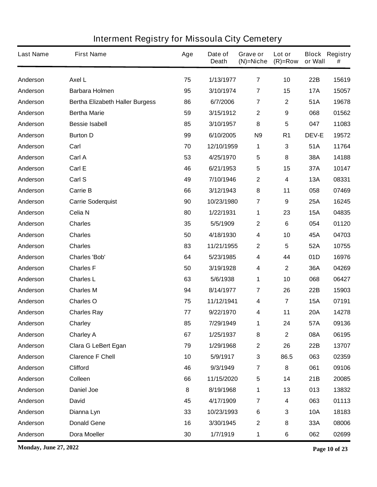| <b>Last Name</b> | <b>First Name</b>                      | Age | Date of<br><b>Death</b> | Grave or<br>$(N)$ =Niche | Lot or<br>$(R)=Row$ | or Wall      | <b>Block Registry</b><br># |
|------------------|----------------------------------------|-----|-------------------------|--------------------------|---------------------|--------------|----------------------------|
| Anderson         | <b>Axel L</b>                          | 75  | 1/13/1977               | $\overline{\mathbf{r}}$  | 10                  | <b>22B</b>   | 15619                      |
| Anderson         | <b>Barbara Holmen</b>                  | 95  | 3/10/1974               | 7                        | 15                  | <b>17A</b>   | 15057                      |
| Anderson         | <b>Bertha Elizabeth Haller Burgess</b> | 86  | 6/7/2006                | $\overline{7}$           | 2                   | 51A          | 19678                      |
| Anderson         | <b>Bertha Marie</b>                    | 59  | 3/15/1912               | $\boldsymbol{2}$         | 9                   | 068          | 01562                      |
| Anderson         | <b>Bessie Isabell</b>                  | 85  | 3/10/1957               | 8                        | 5                   | 047          | 11083                      |
| Anderson         | <b>Burton D</b>                        | 99  | 6/10/2005               | N <sub>9</sub>           | R <sub>1</sub>      | <b>DEV-E</b> | 19572                      |
| Anderson         | Carl                                   | 70  | 12/10/1959              | 1                        | 3                   | 51A          | 11764                      |
| Anderson         | Carl A                                 | 53  | 4/25/1970               | 5                        | 8                   | 38A          | 14188                      |
| Anderson         | Carl E                                 | 46  | 6/21/1953               | $\overline{\mathbf{5}}$  | 15                  | 37A          | 10147                      |
| Anderson         | Carl S                                 | 49  | 7/10/1946               | $\mathbf{2}$             | 4                   | <b>13A</b>   | 08331                      |
| Anderson         | <b>Carrie B</b>                        | 66  | 3/12/1943               | $\pmb{8}$                | 11                  | 058          | 07469                      |
| Anderson         | <b>Carrie Soderquist</b>               | 90  | 10/23/1980              | 7                        | 9                   | 25A          | 16245                      |
| Anderson         | Celia N                                | 80  | 1/22/1931               | 1                        | 23                  | <b>15A</b>   | 04835                      |
| Anderson         | <b>Charles</b>                         | 35  | 5/5/1909                | $\boldsymbol{2}$         | 6                   | 054          | 01120                      |
| Anderson         | <b>Charles</b>                         | 50  | 4/18/1930               | 4                        | 10                  | 45A          | 04703                      |
| Anderson         | <b>Charles</b>                         | 83  | 11/21/1955              | $\boldsymbol{2}$         | 5                   | 52A          | 10755                      |
| Anderson         | <b>Charles 'Bob'</b>                   | 64  | 5/23/1985               | 4                        | 44                  | 01D          | 16976                      |
| Anderson         | <b>Charles F</b>                       | 50  | 3/19/1928               | 4                        | $\mathbf 2$         | 36A          | 04269                      |
| Anderson         | <b>Charles L</b>                       | 63  | 5/6/1938                | 1                        | 10                  | 068          | 06427                      |
| Anderson         | <b>Charles M</b>                       | 94  | 8/14/1977               | 7                        | 26                  | 22B          | 15903                      |
| Anderson         | <b>Charles O</b>                       | 75  | 11/12/1941              | 4                        | 7                   | <b>15A</b>   | 07191                      |
| Anderson         | <b>Charles Ray</b>                     | 77  | 9/22/1970               | 4                        | 11                  | <b>20A</b>   | 14278                      |
| Anderson         | Charley                                | 85  | 7/29/1949               | 1                        | 24                  | 57A          | 09136                      |
| Anderson         | <b>Charley A</b>                       | 67  | 1/25/1937               | 8                        | $\mathbf 2$         | 08A          | 06195                      |
| Anderson         | <b>Clara G LeBert Egan</b>             | 79  | 1/29/1968               | $\mathbf{2}$             | 26                  | 22B          | 13707                      |
| Anderson         | <b>Clarence F Chell</b>                | 10  | 5/9/1917                | $\mathbf 3$              | 86.5                | 063          | 02359                      |
| Anderson         | <b>Clifford</b>                        | 46  | 9/3/1949                | $\overline{7}$           | 8                   | 061          | 09106                      |
| Anderson         | Colleen                                | 66  | 11/15/2020              | $\sqrt{5}$               | 14                  | 21B          | 20085                      |
| Anderson         | <b>Daniel Joe</b>                      | 8   | 8/19/1968               | 1                        | 13                  | 013          | 13832                      |
| Anderson         | <b>David</b>                           | 45  | 4/17/1909               | $\overline{7}$           | 4                   | 063          | 01113                      |
| Anderson         | Dianna Lyn                             | 33  | 10/23/1993              | $\bf 6$                  | 3                   | <b>10A</b>   | 18183                      |
| Anderson         | <b>Donald Gene</b>                     | 16  | 3/30/1945               | $\mathbf{2}$             | 8                   | 33A          | 08006                      |
| Anderson         | <b>Dora Moeller</b>                    | 30  | 1/7/1919                | $\mathbf 1$              | 6                   | 062          | 02699                      |

**Monday, June 27, 2022 Page 10 of 23**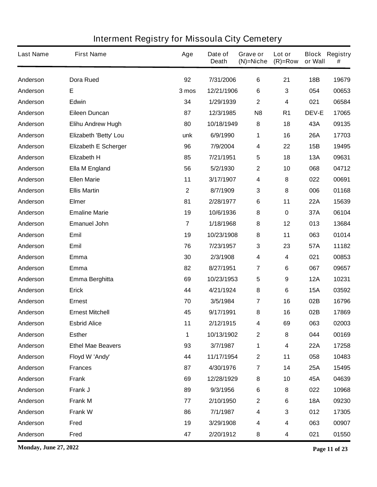| <b>Last Name</b> | <b>First Name</b>           | Age            | Date of<br><b>Death</b> | Grave or<br>$(N)$ =Niche | Lot or<br>$(R)=Row$ | or Wall      | <b>Block Registry</b><br># |
|------------------|-----------------------------|----------------|-------------------------|--------------------------|---------------------|--------------|----------------------------|
| Anderson         | <b>Dora Rued</b>            | 92             | 7/31/2006               | 6                        | 21                  | <b>18B</b>   | 19679                      |
| Anderson         | E                           | 3 mos          | 12/21/1906              | 6                        | 3                   | 054          | 00653                      |
| Anderson         | <b>Edwin</b>                | 34             | 1/29/1939               | $\mathbf{2}$             | 4                   | 021          | 06584                      |
| Anderson         | <b>Eileen Duncan</b>        | 87             | 12/3/1985               | N <sub>8</sub>           | R <sub>1</sub>      | <b>DEV-E</b> | 17065                      |
| Anderson         | <b>Elihu Andrew Hugh</b>    | 80             | 10/18/1949              | 8                        | 18                  | 43A          | 09135                      |
| Anderson         | Elizabeth 'Betty' Lou       | unk            | 6/9/1990                | 1                        | 16                  | <b>26A</b>   | 17703                      |
| Anderson         | <b>Elizabeth E Scherger</b> | 96             | 7/9/2004                | $\overline{\mathbf{4}}$  | 22                  | 15B          | 19495                      |
| Anderson         | <b>Elizabeth H</b>          | 85             | 7/21/1951               | $\sqrt{5}$               | 18                  | <b>13A</b>   | 09631                      |
| Anderson         | Ella M England              | 56             | 5/2/1930                | $\mathbf{2}$             | 10                  | 068          | 04712                      |
| Anderson         | <b>Ellen Marie</b>          | 11             | 3/17/1907               | 4                        | 8                   | 022          | 00691                      |
| Anderson         | <b>Ellis Martin</b>         | $\mathbf 2$    | 8/7/1909                | $\mathbf{3}$             | 8                   | 006          | 01168                      |
| Anderson         | <b>Elmer</b>                | 81             | 2/28/1977               | 6                        | 11                  | <b>22A</b>   | 15639                      |
| Anderson         | <b>Emaline Marie</b>        | 19             | 10/6/1936               | 8                        | 0                   | 37A          | 06104                      |
| Anderson         | <b>Emanuel John</b>         | $\overline{7}$ | 1/18/1968               | 8                        | 12                  | 013          | 13684                      |
| Anderson         | Emil                        | 19             | 10/23/1908              | 8                        | 11                  | 063          | 01014                      |
| Anderson         | Emil                        | 76             | 7/23/1957               | $\mathbf 3$              | 23                  | 57A          | 11182                      |
| Anderson         | Emma                        | 30             | 2/3/1908                | $\overline{\mathbf{4}}$  | 4                   | 021          | 00853                      |
| Anderson         | Emma                        | 82             | 8/27/1951               | $\overline{7}$           | 6                   | 067          | 09657                      |
| Anderson         | Emma Berghitta              | 69             | 10/23/1953              | $\overline{\mathbf{5}}$  | 9                   | <b>12A</b>   | 10231                      |
| Anderson         | <b>Erick</b>                | 44             | 4/21/1924               | 8                        | 6                   | <b>15A</b>   | 03592                      |
| Anderson         | <b>Ernest</b>               | 70             | 3/5/1984                | $\overline{7}$           | 16                  | 02B          | 16796                      |
| Anderson         | <b>Ernest Mitchell</b>      | 45             | 9/17/1991               | 8                        | 16                  | 02B          | 17869                      |
| Anderson         | <b>Esbrid Alice</b>         | 11             | 2/12/1915               | 4                        | 69                  | 063          | 02003                      |
| Anderson         | <b>Esther</b>               | 1              | 10/13/1902              | $\boldsymbol{2}$         | 8                   | 044          | 00169                      |
| Anderson         | <b>Ethel Mae Beavers</b>    | 93             | 3/7/1987                | 1                        | 4                   | <b>22A</b>   | 17258                      |
| Anderson         | Floyd W 'Andy'              | 44             | 11/17/1954              | $\mathbf{2}$             | 11                  | 058          | 10483                      |
| Anderson         | <b>Frances</b>              | 87             | 4/30/1976               | $\overline{7}$           | 14                  | <b>25A</b>   | 15495                      |
| Anderson         | <b>Frank</b>                | 69             | 12/28/1929              | 8                        | 10                  | 45A          | 04639                      |
| Anderson         | Frank J                     | 89             | 9/3/1956                | $\bf 6$                  | 8                   | 022          | 10968                      |
| Anderson         | <b>Frank M</b>              | 77             | 2/10/1950               | $\mathbf{2}$             | 6                   | <b>18A</b>   | 09230                      |
| Anderson         | <b>Frank W</b>              | 86             | 7/1/1987                | $\overline{\mathbf{4}}$  | 3                   | 012          | 17305                      |
| Anderson         | Fred                        | 19             | 3/29/1908               | $\overline{\mathbf{4}}$  | 4                   | 063          | 00907                      |
| Anderson         | Fred                        | 47             | 2/20/1912               | 8                        | 4                   | 021          | 01550                      |

**Monday, June 27, 2022 Page 11 of 23**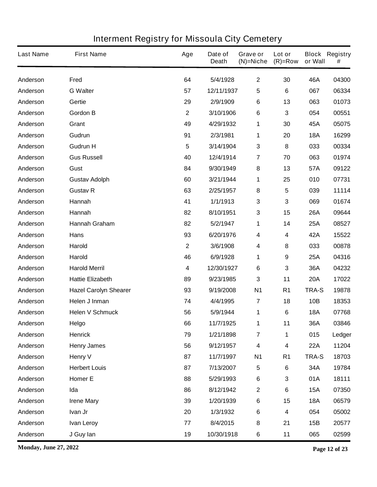| <b>Last Name</b> | <b>First Name</b>            | Age          | Date of<br><b>Death</b> | Grave or<br>$(N)$ =Niche | Lot or<br>$(R)=Row$ | or Wall      | <b>Block Registry</b><br># |
|------------------|------------------------------|--------------|-------------------------|--------------------------|---------------------|--------------|----------------------------|
| Anderson         | <b>Fred</b>                  | 64           | 5/4/1928                | $\mathbf{2}$             | 30                  | 46A          | 04300                      |
| Anderson         | <b>G</b> Walter              | 57           | 12/11/1937              | 5                        | 6                   | 067          | 06334                      |
| Anderson         | Gertie                       | 29           | 2/9/1909                | 6                        | 13                  | 063          | 01073                      |
| Anderson         | <b>Gordon B</b>              | $\mathbf 2$  | 3/10/1906               | 6                        | 3                   | 054          | 00551                      |
| Anderson         | Grant                        | 49           | 4/29/1932               | 1                        | 30                  | 45A          | 05075                      |
| Anderson         | Gudrun                       | 91           | 2/3/1981                | 1                        | 20                  | <b>18A</b>   | 16299                      |
| Anderson         | <b>Gudrun H</b>              | 5            | 3/14/1904               | 3                        | 8                   | 033          | 00334                      |
| Anderson         | <b>Gus Russell</b>           | 40           | 12/4/1914               | $\overline{7}$           | 70                  | 063          | 01974                      |
| Anderson         | Gust                         | 84           | 9/30/1949               | 8                        | 13                  | 57A          | 09122                      |
| Anderson         | <b>Gustav Adolph</b>         | 60           | 3/21/1944               | 1                        | 25                  | 010          | 07731                      |
| Anderson         | <b>Gustav R</b>              | 63           | 2/25/1957               | 8                        | 5                   | 039          | 11114                      |
| Anderson         | Hannah                       | 41           | 1/1/1913                | 3                        | 3                   | 069          | 01674                      |
| Anderson         | Hannah                       | 82           | 8/10/1951               | 3                        | 15                  | <b>26A</b>   | 09644                      |
| Anderson         | <b>Hannah Graham</b>         | 82           | 5/2/1947                | 1                        | 14                  | 25A          | 08527                      |
| Anderson         | Hans                         | 93           | 6/20/1976               | 4                        | 4                   | 42A          | 15522                      |
| Anderson         | Harold                       | $\mathbf{2}$ | 3/6/1908                | 4                        | 8                   | 033          | 00878                      |
| Anderson         | Harold                       | 46           | 6/9/1928                | 1                        | 9                   | 25A          | 04316                      |
| Anderson         | <b>Harold Merril</b>         | 4            | 12/30/1927              | $\bf 6$                  | 3                   | 36A          | 04232                      |
| Anderson         | <b>Hattie Elizabeth</b>      | 89           | 9/23/1985               | $\mathbf{3}$             | 11                  | <b>20A</b>   | 17022                      |
| Anderson         | <b>Hazel Carolyn Shearer</b> | 93           | 9/19/2008               | <b>N1</b>                | R <sub>1</sub>      | <b>TRA-S</b> | 19878                      |
| Anderson         | Helen J Inman                | 74           | 4/4/1995                | $\overline{7}$           | 18                  | <b>10B</b>   | 18353                      |
| Anderson         | <b>Helen V Schmuck</b>       | 56           | 5/9/1944                | 1                        | 6                   | <b>18A</b>   | 07768                      |
| Anderson         | Helgo                        | 66           | 11/7/1925               | 1                        | 11                  | 36A          | 03846                      |
| Anderson         | <b>Henrick</b>               | 79           | 1/21/1898               | $\overline{7}$           | 1                   | 015          | Ledger                     |
| Anderson         | <b>Henry James</b>           | 56           | 9/12/1957               | $\overline{\mathbf{4}}$  | $\boldsymbol{4}$    | <b>22A</b>   | 11204                      |
| Anderson         | <b>Henry V</b>               | 87           | 11/7/1997               | <b>N1</b>                | R <sub>1</sub>      | TRA-S        | 18703                      |
| Anderson         | <b>Herbert Louis</b>         | 87           | 7/13/2007               | ${\bf 5}$                | $\bf 6$             | 34A          | 19784                      |
| Anderson         | <b>Homer E</b>               | 88           | 5/29/1993               | $\bf 6$                  | 3                   | 01A          | 18111                      |
| Anderson         | Ida                          | 86           | 8/12/1942               | $\mathbf 2$              | $\bf 6$             | <b>15A</b>   | 07350                      |
| Anderson         | <b>Irene Mary</b>            | 39           | 1/20/1939               | $\bf 6$                  | 15                  | <b>18A</b>   | 06579                      |
| Anderson         | Ivan Jr                      | 20           | 1/3/1932                | $\bf 6$                  | $\boldsymbol{4}$    | 054          | 05002                      |
| Anderson         | <b>Ivan Leroy</b>            | 77           | 8/4/2015                | $\bf 8$                  | 21                  | 15B          | 20577                      |
| Anderson         | J Guy lan                    | 19           | 10/30/1918              | $\bf 6$                  | 11                  | 065          | 02599                      |

**Monday, June 27, 2022 Page 12 of 23**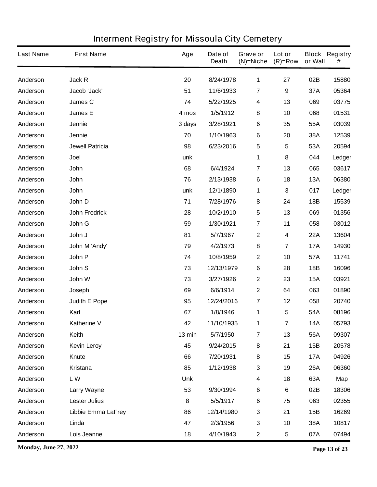| <b>Last Name</b> | <b>First Name</b>         | Age        | Date of<br><b>Death</b> | Grave or<br>$(N)$ =Niche | Lot or<br>$(R)=Row$ | or Wall    | <b>Block Registry</b><br># |
|------------------|---------------------------|------------|-------------------------|--------------------------|---------------------|------------|----------------------------|
| Anderson         | Jack R                    | 20         | 8/24/1978               | 1                        | 27                  | 02B        | 15880                      |
| Anderson         | Jacob 'Jack'              | 51         | 11/6/1933               | $\overline{7}$           | 9                   | 37A        | 05364                      |
| Anderson         | James C                   | 74         | 5/22/1925               | $\overline{\mathbf{4}}$  | 13                  | 069        | 03775                      |
| Anderson         | <b>James E</b>            | 4 mos      | 1/5/1912                | 8                        | 10                  | 068        | 01531                      |
| Anderson         | Jennie                    | 3 days     | 3/28/1921               | 6                        | 35                  | 55A        | 03039                      |
| Anderson         | Jennie                    | 70         | 1/10/1963               | 6                        | 20                  | 38A        | 12539                      |
| Anderson         | <b>Jewell Patricia</b>    | 98         | 6/23/2016               | $\sqrt{5}$               | 5                   | 53A        | 20594                      |
| Anderson         | Joel                      | unk        |                         | 1                        | 8                   | 044        | Ledger                     |
| Anderson         | John                      | 68         | 6/4/1924                | $\overline{7}$           | 13                  | 065        | 03617                      |
| Anderson         | John                      | 76         | 2/13/1938               | 6                        | 18                  | <b>13A</b> | 06380                      |
| Anderson         | John                      | unk        | 12/1/1890               | 1                        | 3                   | 017        | Ledger                     |
| Anderson         | John D                    | 71         | 7/28/1976               | 8                        | 24                  | 18B        | 15539                      |
| Anderson         | <b>John Fredrick</b>      | 28         | 10/2/1910               | $\sqrt{5}$               | 13                  | 069        | 01356                      |
| Anderson         | John G                    | 59         | 1/30/1921               | $\overline{7}$           | 11                  | 058        | 03012                      |
| Anderson         | John J                    | 81         | 5/7/1967                | $\boldsymbol{2}$         | 4                   | <b>22A</b> | 13604                      |
| Anderson         | John M 'Andy'             | 79         | 4/2/1973                | 8                        | 7                   | <b>17A</b> | 14930                      |
| Anderson         | John P                    | 74         | 10/8/1959               | $\mathbf{2}$             | 10                  | 57A        | 11741                      |
| Anderson         | John S                    | 73         | 12/13/1979              | 6                        | 28                  | 18B        | 16096                      |
| Anderson         | John W                    | 73         | 3/27/1926               | $\mathbf{2}$             | 23                  | <b>15A</b> | 03921                      |
| Anderson         | Joseph                    | 69         | 6/6/1914                | $\boldsymbol{2}$         | 64                  | 063        | 01890                      |
| Anderson         | <b>Judith E Pope</b>      | 95         | 12/24/2016              | $\overline{7}$           | 12                  | 058        | 20740                      |
| Anderson         | Karl                      | 67         | 1/8/1946                | 1                        | 5                   | 54A        | 08196                      |
| Anderson         | Katherine V               | 42         | 11/10/1935              | 1                        | $\overline{7}$      | <b>14A</b> | 05793                      |
| Anderson         | Keith                     | 13 min     | 5/7/1950                | $\overline{7}$           | 13                  | 56A        | 09307                      |
| Anderson         | <b>Kevin Leroy</b>        | 45         | 9/24/2015               | ${\bf 8}$                | 21                  | 15B        | 20578                      |
| Anderson         | Knute                     | 66         | 7/20/1931               | ${\bf 8}$                | 15                  | <b>17A</b> | 04926                      |
| Anderson         | Kristana                  | 85         | 1/12/1938               | $\mathbf 3$              | 19                  | <b>26A</b> | 06360                      |
| Anderson         | LW                        | <b>Unk</b> |                         | $\overline{\mathbf{4}}$  | 18                  | 63A        | Map                        |
| Anderson         | Larry Wayne               | 53         | 9/30/1994               | $\bf 6$                  | $\bf 6$             | 02B        | 18306                      |
| Anderson         | <b>Lester Julius</b>      | 8          | 5/5/1917                | $\bf 6$                  | 75                  | 063        | 02355                      |
| Anderson         | <b>Libbie Emma LaFrey</b> | 86         | 12/14/1980              | $\mathbf 3$              | 21                  | 15B        | 16269                      |
| Anderson         | Linda                     | 47         | 2/3/1956                | $\mathbf{3}$             | 10                  | 38A        | 10817                      |
| Anderson         | Lois Jeanne               | 18         | 4/10/1943               | $\mathbf 2$              | 5                   | 07A        | 07494                      |

**Monday, June 27, 2022 Page 13 of 23**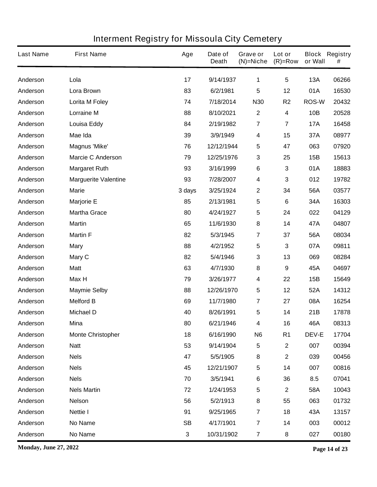| <b>Last Name</b> | <b>First Name</b>           | Age       | Date of<br><b>Death</b> | Grave or<br>$(N)=Niche$ | Lot or<br>$(R)=Row$ | or Wall      | <b>Block Registry</b><br># |
|------------------|-----------------------------|-----------|-------------------------|-------------------------|---------------------|--------------|----------------------------|
| Anderson         | Lola                        | 17        | 9/14/1937               | 1                       | 5                   | 13A          | 06266                      |
| Anderson         | Lora Brown                  | 83        | 6/2/1981                | $5\phantom{.0}$         | 12                  | 01A          | 16530                      |
| Anderson         | Lorita M Foley              | 74        | 7/18/2014               | <b>N30</b>              | R <sub>2</sub>      | <b>ROS-W</b> | 20432                      |
| Anderson         | <b>Lorraine M</b>           | 88        | 8/10/2021               | $\boldsymbol{2}$        | $\boldsymbol{4}$    | 10B          | 20528                      |
| Anderson         | <b>Louisa Eddy</b>          | 84        | 2/19/1982               | $\overline{7}$          | 7                   | <b>17A</b>   | 16458                      |
| Anderson         | Mae Ida                     | 39        | 3/9/1949                | $\overline{\mathbf{4}}$ | 15                  | 37A          | 08977                      |
| Anderson         | <b>Magnus 'Mike'</b>        | 76        | 12/12/1944              | 5                       | 47                  | 063          | 07920                      |
| Anderson         | <b>Marcie C Anderson</b>    | 79        | 12/25/1976              | 3                       | 25                  | 15B          | 15613                      |
| Anderson         | <b>Margaret Ruth</b>        | 93        | 3/16/1999               | $\bf 6$                 | 3                   | 01A          | 18883                      |
| Anderson         | <b>Marguerite Valentine</b> | 93        | 7/28/2007               | 4                       | 3                   | 012          | 19782                      |
| Anderson         | <b>Marie</b>                | 3 days    | 3/25/1924               | $\boldsymbol{2}$        | 34                  | 56A          | 03577                      |
| Anderson         | <b>Marjorie E</b>           | 85        | 2/13/1981               | ${\bf 5}$               | 6                   | 34A          | 16303                      |
| Anderson         | <b>Martha Grace</b>         | 80        | 4/24/1927               | 5                       | 24                  | 022          | 04129                      |
| Anderson         | <b>Martin</b>               | 65        | 11/6/1930               | 8                       | 14                  | 47A          | 04807                      |
| Anderson         | <b>Martin F</b>             | 82        | 5/3/1945                | $\overline{7}$          | 37                  | 56A          | 08034                      |
| Anderson         | <b>Mary</b>                 | 88        | 4/2/1952                | 5                       | 3                   | 07A          | 09811                      |
| Anderson         | Mary C                      | 82        | 5/4/1946                | 3                       | 13                  | 069          | 08284                      |
| Anderson         | <b>Matt</b>                 | 63        | 4/7/1930                | 8                       | 9                   | 45A          | 04697                      |
| Anderson         | Max H                       | 79        | 3/26/1977               | 4                       | 22                  | 15B          | 15649                      |
| Anderson         | <b>Maymie Selby</b>         | 88        | 12/26/1970              | 5                       | 12                  | 52A          | 14312                      |
| Anderson         | <b>Melford B</b>            | 69        | 11/7/1980               | $\overline{7}$          | 27                  | 08A          | 16254                      |
| Anderson         | <b>Michael D</b>            | 40        | 8/26/1991               | 5                       | 14                  | 21B          | 17878                      |
| Anderson         | Mina                        | 80        | 6/21/1946               | 4                       | 16                  | 46A          | 08313                      |
| Anderson         | <b>Monte Christopher</b>    | 18        | 6/16/1990               | N <sub>6</sub>          | R <sub>1</sub>      | <b>DEV-E</b> | 17704                      |
| Anderson         | <b>Natt</b>                 | 53        | 9/14/1904               | 5                       | $\mathbf{2}$        | 007          | 00394                      |
| Anderson         | <b>Nels</b>                 | 47        | 5/5/1905                | 8                       | $\mathbf 2$         | 039          | 00456                      |
| Anderson         | <b>Nels</b>                 | 45        | 12/21/1907              | 5                       | 14                  | 007          | 00816                      |
| Anderson         | <b>Nels</b>                 | 70        | 3/5/1941                | 6                       | 36                  | 8.5          | 07041                      |
| Anderson         | <b>Nels Martin</b>          | 72        | 1/24/1953               | 5                       | $\mathbf{2}$        | 58A          | 10043                      |
| Anderson         | <b>Nelson</b>               | 56        | 5/2/1913                | 8                       | 55                  | 063          | 01732                      |
| Anderson         | <b>Nettie I</b>             | 91        | 9/25/1965               | $\overline{\mathbf{r}}$ | 18                  | 43A          | 13157                      |
| Anderson         | <b>No Name</b>              | <b>SB</b> | 4/17/1901               | $\overline{\mathbf{r}}$ | 14                  | 003          | 00012                      |
| Anderson         | No Name                     | 3         | 10/31/1902              | $\overline{\mathbf{r}}$ | 8                   | 027          | 00180                      |

**Monday, June 27, 2022 Page 14 of 23**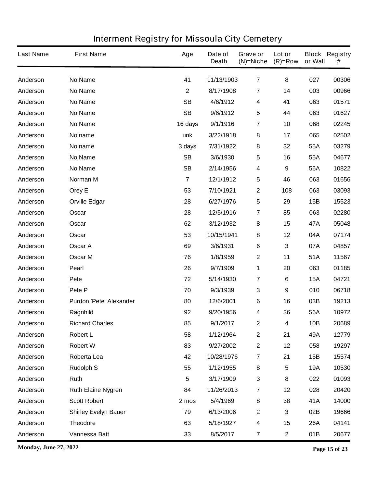| <b>Last Name</b> | <b>First Name</b>              | Age          | Date of<br><b>Death</b> | Grave or<br>$(N)$ =Niche | Lot or<br>$(R)=Row$ | or Wall    | <b>Block Registry</b><br># |
|------------------|--------------------------------|--------------|-------------------------|--------------------------|---------------------|------------|----------------------------|
| Anderson         | <b>No Name</b>                 | 41           | 11/13/1903              | $\overline{7}$           | 8                   | 027        | 00306                      |
| Anderson         | <b>No Name</b>                 | $\mathbf{2}$ | 8/17/1908               | $\overline{7}$           | 14                  | 003        | 00966                      |
| Anderson         | <b>No Name</b>                 | <b>SB</b>    | 4/6/1912                | 4                        | 41                  | 063        | 01571                      |
| Anderson         | <b>No Name</b>                 | <b>SB</b>    | 9/6/1912                | 5                        | 44                  | 063        | 01627                      |
| Anderson         | <b>No Name</b>                 | 16 days      | 9/1/1916                | 7                        | 10                  | 068        | 02245                      |
| Anderson         | No name                        | unk          | 3/22/1918               | ${\bf 8}$                | 17                  | 065        | 02502                      |
| Anderson         | No name                        | 3 days       | 7/31/1922               | 8                        | 32                  | 55A        | 03279                      |
| Anderson         | <b>No Name</b>                 | <b>SB</b>    | 3/6/1930                | 5                        | 16                  | 55A        | 04677                      |
| Anderson         | <b>No Name</b>                 | <b>SB</b>    | 2/14/1956               | 4                        | 9                   | 56A        | 10822                      |
| Anderson         | Norman M                       | 7            | 12/1/1912               | 5                        | 46                  | 063        | 01656                      |
| Anderson         | Orey E                         | 53           | 7/10/1921               | $\mathbf{2}$             | 108                 | 063        | 03093                      |
| Anderson         | <b>Orville Edgar</b>           | 28           | 6/27/1976               | 5                        | 29                  | 15B        | 15523                      |
| Anderson         | Oscar                          | 28           | 12/5/1916               | $\overline{7}$           | 85                  | 063        | 02280                      |
| Anderson         | Oscar                          | 62           | 3/12/1932               | 8                        | 15                  | 47A        | 05048                      |
| Anderson         | Oscar                          | 53           | 10/15/1941              | 8                        | 12                  | 04A        | 07174                      |
| Anderson         | Oscar A                        | 69           | 3/6/1931                | $\bf 6$                  | 3                   | 07A        | 04857                      |
| Anderson         | <b>Oscar M</b>                 | 76           | 1/8/1959                | $\mathbf{2}$             | 11                  | 51A        | 11567                      |
| Anderson         | <b>Pearl</b>                   | 26           | 9/7/1909                | 1                        | 20                  | 063        | 01185                      |
| Anderson         | Pete                           | 72           | 5/14/1930               | $\overline{7}$           | 6                   | <b>15A</b> | 04721                      |
| Anderson         | Pete P                         | 70           | 9/3/1939                | $\mathbf{3}$             | 9                   | 010        | 06718                      |
| Anderson         | <b>Purdon 'Pete' Alexander</b> | 80           | 12/6/2001               | 6                        | 16                  | 03B        | 19213                      |
| Anderson         | Ragnhild                       | 92           | 9/20/1956               | 4                        | 36                  | 56A        | 10972                      |
| Anderson         | <b>Richard Charles</b>         | 85           | 9/1/2017                | 2                        | 4                   | 10B        | 20689                      |
| Anderson         | <b>Robert L</b>                | 58           | 1/12/1964               | $\boldsymbol{2}$         | 21                  | 49A        | 12779                      |
| Anderson         | <b>Robert W</b>                | 83           | 9/27/2002               | $\mathbf 2$              | 12                  | 058        | 19297                      |
| Anderson         | Roberta Lea                    | 42           | 10/28/1976              | $\overline{7}$           | 21                  | 15B        | 15574                      |
| Anderson         | <b>Rudolph S</b>               | 55           | 1/12/1955               | ${\bf 8}$                | 5                   | <b>19A</b> | 10530                      |
| Anderson         | Ruth                           | 5            | 3/17/1909               | $\mathbf 3$              | 8                   | 022        | 01093                      |
| Anderson         | <b>Ruth Elaine Nygren</b>      | 84           | 11/26/2013              | $\overline{7}$           | 12                  | 028        | 20420                      |
| Anderson         | <b>Scott Robert</b>            | 2 mos        | 5/4/1969                | 8                        | 38                  | 41A        | 14000                      |
| Anderson         | <b>Shirley Evelyn Bauer</b>    | 79           | 6/13/2006               | $\boldsymbol{2}$         | 3                   | 02B        | 19666                      |
| Anderson         | <b>Theodore</b>                | 63           | 5/18/1927               | $\boldsymbol{4}$         | 15                  | <b>26A</b> | 04141                      |
| Anderson         | Vannessa Batt                  | 33           | 8/5/2017                | $\overline{\mathbf{7}}$  | $\mathbf 2$         | 01B        | 20677                      |

**Monday, June 27, 2022 Page 15 of 23**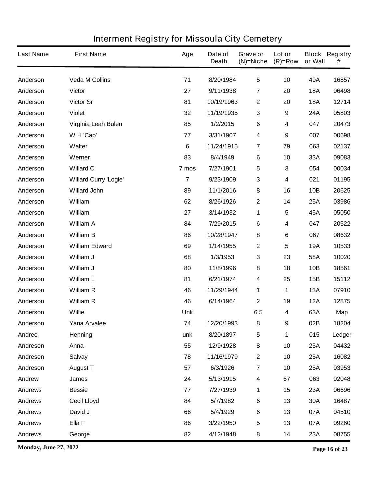| <b>Last Name</b> | <b>First Name</b>            | Age            | Date of<br><b>Death</b> | Grave or<br>$(N)$ =Niche | Lot or<br>$(R)=Row$ | or Wall    | <b>Block Registry</b><br># |
|------------------|------------------------------|----------------|-------------------------|--------------------------|---------------------|------------|----------------------------|
| Anderson         | <b>Veda M Collins</b>        | 71             | 8/20/1984               | $5\phantom{.0}$          | 10                  | 49A        | 16857                      |
| Anderson         | <b>Victor</b>                | 27             | 9/11/1938               | $\overline{7}$           | 20                  | <b>18A</b> | 06498                      |
| Anderson         | <b>Victor Sr</b>             | 81             | 10/19/1963              | $\boldsymbol{2}$         | 20                  | <b>18A</b> | 12714                      |
| Anderson         | <b>Violet</b>                | 32             | 11/19/1935              | $\mathbf 3$              | 9                   | 24A        | 05803                      |
| Anderson         | Virginia Leah Bulen          | 85             | 1/2/2015                | $\bf 6$                  | 4                   | 047        | 20473                      |
| Anderson         | W H 'Cap'                    | 77             | 3/31/1907               | $\boldsymbol{4}$         | 9                   | 007        | 00698                      |
| Anderson         | Walter                       | $6\phantom{1}$ | 11/24/1915              | $\overline{7}$           | 79                  | 063        | 02137                      |
| Anderson         | Werner                       | 83             | 8/4/1949                | $6\phantom{1}6$          | 10                  | 33A        | 09083                      |
| Anderson         | <b>Willard C</b>             | 7 mos          | 7/27/1901               | 5                        | 3                   | 054        | 00034                      |
| Anderson         | <b>Willard Curry 'Logie'</b> | $\overline{7}$ | 9/23/1909               | $\mathbf{3}$             | 4                   | 021        | 01195                      |
| Anderson         | <b>Willard John</b>          | 89             | 11/1/2016               | ${\bf 8}$                | 16                  | 10B        | 20625                      |
| Anderson         | William                      | 62             | 8/26/1926               | $\boldsymbol{2}$         | 14                  | <b>25A</b> | 03986                      |
| Anderson         | William                      | 27             | 3/14/1932               | 1                        | 5                   | 45A        | 05050                      |
| Anderson         | <b>William A</b>             | 84             | 7/29/2015               | $\bf 6$                  | 4                   | 047        | 20522                      |
| Anderson         | <b>William B</b>             | 86             | 10/28/1947              | 8                        | 6                   | 067        | 08632                      |
| Anderson         | <b>William Edward</b>        | 69             | 1/14/1955               | $\boldsymbol{2}$         | 5                   | <b>19A</b> | 10533                      |
| Anderson         | William J                    | 68             | 1/3/1953                | $\mathbf{3}$             | 23                  | 58A        | 10020                      |
| Anderson         | William J                    | 80             | 11/8/1996               | 8                        | 18                  | 10B        | 18561                      |
| Anderson         | <b>William L</b>             | 81             | 6/21/1974               | $\boldsymbol{4}$         | 25                  | 15B        | 15112                      |
| Anderson         | <b>William R</b>             | 46             | 11/29/1944              | 1                        | 1                   | <b>13A</b> | 07910                      |
| Anderson         | <b>William R</b>             | 46             | 6/14/1964               | $\mathbf{2}$             | 19                  | <b>12A</b> | 12875                      |
| Anderson         | <b>Willie</b>                | <b>Unk</b>     |                         | 6.5                      | 4                   | 63A        | Map                        |
| Anderson         | Yana Arvalee                 | 74             | 12/20/1993              | 8                        | 9                   | 02B        | 18204                      |
| Andree           | Henning                      | unk            | 8/20/1897               | $\sqrt{5}$               | 1                   | 015        | Ledger                     |
| Andresen         | Anna                         | 55             | 12/9/1928               | ${\bf 8}$                | 10                  | <b>25A</b> | 04432                      |
| Andresen         | <b>Salvay</b>                | 78             | 11/16/1979              | $\boldsymbol{2}$         | 10                  | 25A        | 16082                      |
| Andreson         | <b>August T</b>              | 57             | 6/3/1926                | $\overline{\mathbf{7}}$  | 10                  | <b>25A</b> | 03953                      |
| Andrew           | <b>James</b>                 | 24             | 5/13/1915               | 4                        | 67                  | 063        | 02048                      |
| <b>Andrews</b>   | <b>Bessie</b>                | 77             | 7/27/1939               | 1                        | 15                  | 23A        | 06696                      |
| <b>Andrews</b>   | <b>Cecil Lloyd</b>           | 84             | 5/7/1982                | $\bf 6$                  | 13                  | 30A        | 16487                      |
| <b>Andrews</b>   | David J                      | 66             | 5/4/1929                | $\bf 6$                  | 13                  | 07A        | 04510                      |
| <b>Andrews</b>   | Ella F                       | 86             | 3/22/1950               | $\sqrt{5}$               | 13                  | 07A        | 09260                      |
| <b>Andrews</b>   | George                       | 82             | 4/12/1948               | 8                        | 14                  | 23A        | 08755                      |

**Monday, June 27, 2022 Page 16 of 23**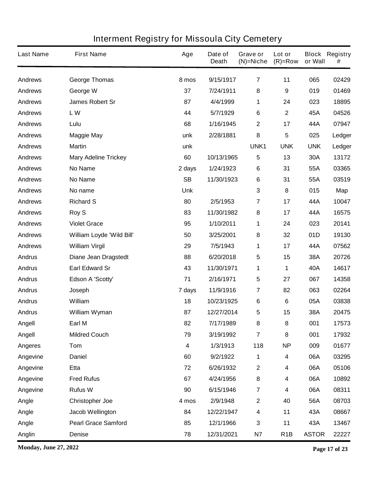| <b>Last Name</b> | <b>First Name</b>           | Age        | Date of<br><b>Death</b> | Grave or<br>$(N)$ =Niche | Lot or<br>$(R)=Row$ | or Wall      | <b>Block Registry</b><br># |
|------------------|-----------------------------|------------|-------------------------|--------------------------|---------------------|--------------|----------------------------|
| <b>Andrews</b>   | <b>George Thomas</b>        | 8 mos      | 9/15/1917               | $\overline{7}$           | 11                  | 065          | 02429                      |
| <b>Andrews</b>   | George W                    | 37         | 7/24/1911               | ${\bf 8}$                | 9                   | 019          | 01469                      |
| <b>Andrews</b>   | James Robert Sr             | 87         | 4/4/1999                | 1                        | 24                  | 023          | 18895                      |
| <b>Andrews</b>   | LW                          | 44         | 5/7/1929                | $\bf 6$                  | $\mathbf 2$         | 45A          | 04526                      |
| <b>Andrews</b>   | Lulu                        | 68         | 1/16/1945               | $\mathbf{2}$             | 17                  | 44A          | 07947                      |
| <b>Andrews</b>   | <b>Maggie May</b>           | unk        | 2/28/1881               | 8                        | 5                   | 025          | Ledger                     |
| <b>Andrews</b>   | <b>Martin</b>               | unk        |                         | UNK1                     | <b>UNK</b>          | <b>UNK</b>   | Ledger                     |
| <b>Andrews</b>   | <b>Mary Adeline Trickey</b> | 60         | 10/13/1965              | 5                        | 13                  | 30A          | 13172                      |
| <b>Andrews</b>   | <b>No Name</b>              | 2 days     | 1/24/1923               | $\bf 6$                  | 31                  | 55A          | 03365                      |
| <b>Andrews</b>   | No Name                     | <b>SB</b>  | 11/30/1923              | $\bf 6$                  | 31                  | 55A          | 03519                      |
| <b>Andrews</b>   | No name                     | <b>Unk</b> |                         | $\mathbf{3}$             | 8                   | 015          | Map                        |
| <b>Andrews</b>   | <b>Richard S</b>            | 80         | 2/5/1953                | 7                        | 17                  | 44A          | 10047                      |
| <b>Andrews</b>   | <b>Roy S</b>                | 83         | 11/30/1982              | 8                        | 17                  | 44A          | 16575                      |
| <b>Andrews</b>   | <b>Violet Grace</b>         | 95         | 1/10/2011               | 1                        | 24                  | 023          | 20141                      |
| <b>Andrews</b>   | William Loyde 'Wild Bill'   | 50         | 3/25/2001               | 8                        | 32                  | 01D          | 19130                      |
| <b>Andrews</b>   | <b>William Virgil</b>       | 29         | 7/5/1943                | 1                        | 17                  | 44A          | 07562                      |
| <b>Andrus</b>    | <b>Diane Jean Dragstedt</b> | 88         | 6/20/2018               | 5                        | 15                  | 38A          | 20726                      |
| <b>Andrus</b>    | <b>Earl Edward Sr</b>       | 43         | 11/30/1971              | 1                        | 1                   | 40A          | 14617                      |
| <b>Andrus</b>    | Edson A 'Scotty'            | 71         | 2/16/1971               | $\sqrt{5}$               | 27                  | 067          | 14358                      |
| <b>Andrus</b>    | Joseph                      | 7 days     | 11/9/1916               | 7                        | 82                  | 063          | 02264                      |
| <b>Andrus</b>    | William                     | 18         | 10/23/1925              | 6                        | 6                   | 05A          | 03838                      |
| <b>Andrus</b>    | William Wyman               | 87         | 12/27/2014              | 5                        | 15                  | 38A          | 20475                      |
| Angell           | Earl M                      | 82         | 7/17/1989               | 8                        | 8                   | 001          | 17573                      |
| Angell           | <b>Mildred Couch</b>        | 79         | 3/19/1992               | $\overline{7}$           | $\bf 8$             | 001          | 17932                      |
| <b>Angeres</b>   | Tom                         | 4          | 1/3/1913                | 118                      | <b>NP</b>           | 009          | 01677                      |
| Angevine         | <b>Daniel</b>               | 60         | 9/2/1922                | 1                        | 4                   | 06A          | 03295                      |
| Angevine         | <b>Etta</b>                 | 72         | 6/26/1932               | $\boldsymbol{2}$         | 4                   | 06A          | 05106                      |
| Angevine         | <b>Fred Rufus</b>           | 67         | 4/24/1956               | 8                        | 4                   | 06A          | 10892                      |
| Angevine         | <b>Rufus W</b>              | 90         | 6/15/1946               | $\overline{\mathbf{r}}$  | 4                   | 06A          | 08311                      |
| Angle            | <b>Christopher Joe</b>      | 4 mos      | 2/9/1948                | $\mathbf{2}$             | 40                  | 56A          | 08703                      |
| Angle            | <b>Jacob Wellington</b>     | 84         | 12/22/1947              | 4                        | 11                  | 43A          | 08667                      |
| Angle            | <b>Pearl Grace Samford</b>  | 85         | 12/1/1966               | $\mathbf 3$              | 11                  | 43A          | 13467                      |
| Anglin           | <b>Denise</b>               | 78         | 12/31/2021              | <b>N7</b>                | R <sub>1</sub> B    | <b>ASTOR</b> | 22227                      |

**Monday, June 27, 2022 Page 17 of 23**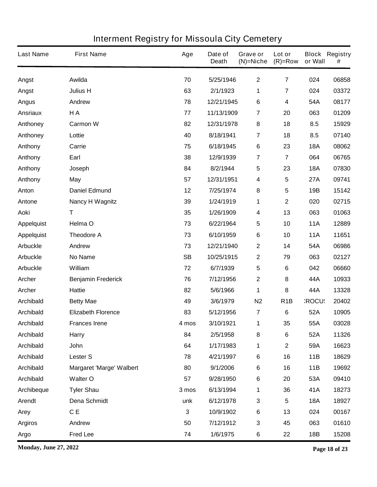| <b>Last Name</b>  | <b>First Name</b>               | Age         | Date of<br><b>Death</b> | <b>Grave or</b><br>$(N)$ =Niche | Lot or<br>$(R)$ =Row    | or Wall      | <b>Block Registry</b><br># |
|-------------------|---------------------------------|-------------|-------------------------|---------------------------------|-------------------------|--------------|----------------------------|
| Angst             | Awilda                          | 70          | 5/25/1946               | $\mathbf 2$                     | $\overline{7}$          | 024          | 06858                      |
| Angst             | <b>Julius H</b>                 | 63          | 2/1/1923                | 1                               | $\overline{\mathbf{7}}$ | 024          | 03372                      |
| <b>Angus</b>      | Andrew                          | 78          | 12/21/1945              | 6                               | 4                       | 54A          | 08177                      |
| <b>Ansriaux</b>   | H A                             | 77          | 11/13/1909              | $\overline{7}$                  | 20                      | 063          | 01209                      |
| Anthoney          | <b>Carmon W</b>                 | 82          | 12/31/1978              | 8                               | 18                      | 8.5          | 15929                      |
| Anthoney          | Lottie                          | 40          | 8/18/1941               | $\overline{\mathbf{7}}$         | 18                      | 8.5          | 07140                      |
| Anthony           | Carrie                          | 75          | 6/18/1945               | 6                               | 23                      | <b>18A</b>   | 08062                      |
| Anthony           | Earl                            | 38          | 12/9/1939               | $\overline{7}$                  | $\overline{\mathbf{7}}$ | 064          | 06765                      |
| Anthony           | Joseph                          | 84          | 8/2/1944                | $5\phantom{.0}$                 | 23                      | <b>18A</b>   | 07830                      |
| Anthony           | May                             | 57          | 12/31/1951              | 4                               | 5                       | <b>27A</b>   | 09741                      |
| Anton             | <b>Daniel Edmund</b>            | 12          | 7/25/1974               | 8                               | 5                       | 19B          | 15142                      |
| Antone            | <b>Nancy H Wagnitz</b>          | 39          | 1/24/1919               | 1                               | $\overline{\mathbf{2}}$ | 020          | 02715                      |
| <b>Aoki</b>       | Τ                               | 35          | 1/26/1909               | 4                               | 13                      | 063          | 01063                      |
| <b>Appelquist</b> | Helma O                         | 73          | 6/22/1964               | 5                               | 10                      | <b>11A</b>   | 12889                      |
| <b>Appelquist</b> | <b>Theodore A</b>               | 73          | 6/10/1959               | 6                               | 10                      | <b>11A</b>   | 11651                      |
| <b>Arbuckle</b>   | <b>Andrew</b>                   | 73          | 12/21/1940              | $\mathbf 2$                     | 14                      | 54A          | 06986                      |
| <b>Arbuckle</b>   | <b>No Name</b>                  | <b>SB</b>   | 10/25/1915              | $\mathbf 2$                     | 79                      | 063          | 02127                      |
| <b>Arbuckle</b>   | William                         | 72          | 6/7/1939                | $\overline{\mathbf{5}}$         | 6                       | 042          | 06660                      |
| <b>Archer</b>     | <b>Benjamin Frederick</b>       | 76          | 7/12/1956               | $\mathbf 2$                     | 8                       | 44A          | 10933                      |
| <b>Archer</b>     | <b>Hattie</b>                   | 82          | 5/6/1966                | 1                               | 8                       | 44A          | 13328                      |
| <b>Archibald</b>  | <b>Betty Mae</b>                | 49          | 3/6/1979                | N <sub>2</sub>                  | R <sub>1</sub> B        | <b>ROCU:</b> | 20402                      |
| <b>Archibald</b>  | <b>Elizabeth Florence</b>       | 83          | 5/12/1956               | 7                               | 6                       | 52A          | 10905                      |
| <b>Archibald</b>  | <b>Frances Irene</b>            | 4 mos       | 3/10/1921               | $\mathbf 1$                     | 35                      | 55A          | 03028                      |
| <b>Archibald</b>  | <b>Harry</b>                    | 84          | 2/5/1958                | 8                               | 6                       | 52A          | 11326                      |
| <b>Archibald</b>  | <b>John</b>                     | 64          | 1/17/1983               | 1                               | $\mathbf 2$             | 59A          | 16623                      |
| <b>Archibald</b>  | <b>Lester S</b>                 | 78          | 4/21/1997               | $\bf 6$                         | 16                      | 11B          | 18629                      |
| <b>Archibald</b>  | <b>Margaret 'Marge' Walbert</b> | 80          | 9/1/2006                | $\bf 6$                         | 16                      | 11B          | 19692                      |
| <b>Archibald</b>  | <b>Walter O</b>                 | 57          | 9/28/1950               | 6                               | 20                      | 53A          | 09410                      |
| Archibeque        | <b>Tyler Shau</b>               | 3 mos       | 6/13/1994               | 1                               | 36                      | 41A          | 18273                      |
| <b>Arendt</b>     | <b>Dena Schmidt</b>             | unk         | 6/12/1978               | 3                               | 5                       | <b>18A</b>   | 18927                      |
| Arey              | C E                             | $\mathbf 3$ | 10/9/1902               | $\bf 6$                         | 13                      | 024          | 00167                      |
| <b>Argiros</b>    | Andrew                          | 50          | 7/12/1912               | $\mathbf{3}$                    | 45                      | 063          | 01610                      |
| <b>Argo</b>       | <b>Fred Lee</b>                 | 74          | 1/6/1975                | 6                               | 22                      | 18B          | 15208                      |

**Monday, June 27, 2022 Page 18 of 23**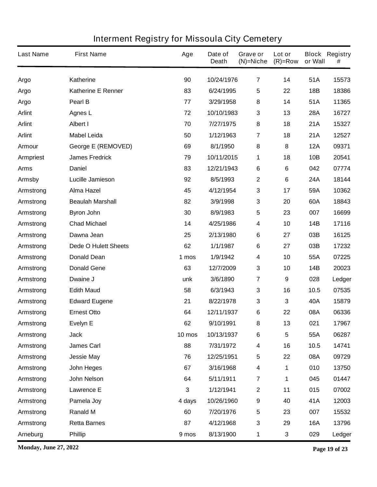| <b>Last Name</b> | <b>First Name</b>           | Age    | Date of<br><b>Death</b> | Grave or<br>$(N)$ =Niche | Lot or<br>$(R)=Row$ | or Wall    | <b>Block Registry</b><br># |
|------------------|-----------------------------|--------|-------------------------|--------------------------|---------------------|------------|----------------------------|
| <b>Argo</b>      | <b>Katherine</b>            | 90     | 10/24/1976              | $\overline{7}$           | 14                  | 51A        | 15573                      |
| <b>Argo</b>      | <b>Katherine E Renner</b>   | 83     | 6/24/1995               | 5                        | 22                  | <b>18B</b> | 18386                      |
| <b>Argo</b>      | Pearl B                     | 77     | 3/29/1958               | 8                        | 14                  | 51A        | 11365                      |
| <b>Arlint</b>    | <b>Agnes L</b>              | 72     | 10/10/1983              | $\mathbf 3$              | 13                  | <b>28A</b> | 16727                      |
| <b>Arlint</b>    | <b>Albert I</b>             | 70     | 7/27/1975               | 8                        | 18                  | 21A        | 15327                      |
| <b>Arlint</b>    | <b>Mabel Leida</b>          | 50     | 1/12/1963               | $\overline{7}$           | 18                  | 21A        | 12527                      |
| <b>Armour</b>    | <b>George E (REMOVED)</b>   | 69     | 8/1/1950                | 8                        | 8                   | <b>12A</b> | 09371                      |
| <b>Armpriest</b> | <b>James Fredrick</b>       | 79     | 10/11/2015              | 1                        | 18                  | 10B        | 20541                      |
| <b>Arms</b>      | <b>Daniel</b>               | 83     | 12/21/1943              | $\bf 6$                  | 6                   | 042        | 07774                      |
| <b>Armsby</b>    | Lucille Jamieson            | 92     | 8/5/1993                | $\boldsymbol{2}$         | 6                   | 24A        | 18144                      |
| Armstrong        | <b>Alma Hazel</b>           | 45     | 4/12/1954               | $\mathbf{3}$             | 17                  | 59A        | 10362                      |
| Armstrong        | <b>Beaulah Marshall</b>     | 82     | 3/9/1998                | 3                        | 20                  | 60A        | 18843                      |
| Armstrong        | <b>Byron John</b>           | 30     | 8/9/1983                | 5                        | 23                  | 007        | 16699                      |
| Armstrong        | <b>Chad Michael</b>         | 14     | 4/25/1986               | $\boldsymbol{4}$         | 10                  | <b>14B</b> | 17116                      |
| Armstrong        | Dawna Jean                  | 25     | 2/13/1980               | $\bf 6$                  | 27                  | 03B        | 16125                      |
| Armstrong        | <b>Dede O Hulett Sheets</b> | 62     | 1/1/1987                | $\bf 6$                  | 27                  | 03B        | 17232                      |
| Armstrong        | <b>Donald Dean</b>          | 1 mos  | 1/9/1942                | $\boldsymbol{4}$         | 10                  | 55A        | 07225                      |
| Armstrong        | <b>Donald Gene</b>          | 63     | 12/7/2009               | $\mathbf{3}$             | 10                  | 14B        | 20023                      |
| Armstrong        | Dwaine J                    | unk    | 3/6/1890                | 7                        | 9                   | 028        | Ledger                     |
| Armstrong        | <b>Edith Maud</b>           | 58     | 6/3/1943                | $\mathbf 3$              | 16                  | 10.5       | 07535                      |
| Armstrong        | <b>Edward Eugene</b>        | 21     | 8/22/1978               | 3                        | 3                   | 40A        | 15879                      |
| Armstrong        | <b>Ernest Otto</b>          | 64     | 12/11/1937              | 6                        | 22                  | 08A        | 06336                      |
| Armstrong        | <b>Evelyn E</b>             | 62     | 9/10/1991               | 8                        | 13                  | 021        | 17967                      |
| Armstrong        | <b>Jack</b>                 | 10 mos | 10/13/1937              | 6                        | 5                   | 55A        | 06287                      |
| Armstrong        | <b>James Carl</b>           | 88     | 7/31/1972               | 4                        | 16                  | 10.5       | 14741                      |
| Armstrong        | <b>Jessie May</b>           | 76     | 12/25/1951              | $\sqrt{5}$               | 22                  | 08A        | 09729                      |
| Armstrong        | John Heges                  | 67     | 3/16/1968               | 4                        | 1                   | 010        | 13750                      |
| Armstrong        | <b>John Nelson</b>          | 64     | 5/11/1911               | $\overline{7}$           | 1                   | 045        | 01447                      |
| Armstrong        | <b>Lawrence E</b>           | 3      | 1/12/1941               | $\boldsymbol{2}$         | 11                  | 015        | 07002                      |
| Armstrong        | Pamela Joy                  | 4 days | 10/26/1960              | $\boldsymbol{9}$         | 40                  | 41A        | 12003                      |
| Armstrong        | <b>Ranald M</b>             | 60     | 7/20/1976               | $\sqrt{5}$               | 23                  | 007        | 15532                      |
| Armstrong        | <b>Retta Barnes</b>         | 87     | 4/12/1968               | $\mathbf 3$              | 29                  | <b>16A</b> | 13796                      |
| Arneburg         | <b>Phillip</b>              | 9 mos  | 8/13/1900               | 1                        | 3                   | 029        | Ledger                     |

**Monday, June 27, 2022 Page 19 of 23**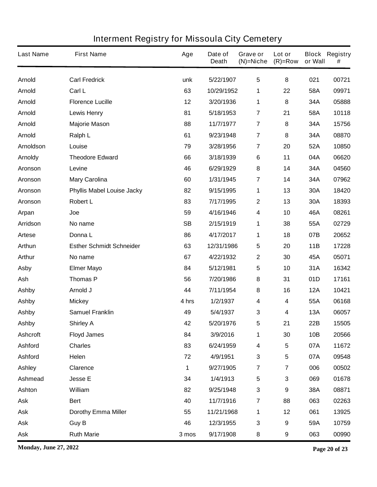| <b>Last Name</b> | <b>First Name</b>                 | Age       | Date of<br><b>Death</b> | Grave or<br>$(N)$ =Niche | Lot or<br>$(R)=Row$     | or Wall    | <b>Block Registry</b><br># |
|------------------|-----------------------------------|-----------|-------------------------|--------------------------|-------------------------|------------|----------------------------|
| <b>Arnold</b>    | <b>Carl Fredrick</b>              | unk       | 5/22/1907               | $5\phantom{.0}$          | 8                       | 021        | 00721                      |
| <b>Arnold</b>    | Carl L                            | 63        | 10/29/1952              | 1                        | 22                      | 58A        | 09971                      |
| <b>Arnold</b>    | <b>Florence Lucille</b>           | 12        | 3/20/1936               | 1                        | 8                       | 34A        | 05888                      |
| <b>Arnold</b>    | <b>Lewis Henry</b>                | 81        | 5/18/1953               | 7                        | 21                      | 58A        | 10118                      |
| <b>Arnold</b>    | <b>Majorie Mason</b>              | 88        | 11/7/1977               | $\overline{7}$           | 8                       | 34A        | 15756                      |
| <b>Arnold</b>    | Ralph L                           | 61        | 9/23/1948               | 7                        | 8                       | 34A        | 08870                      |
| <b>Arnoldson</b> | Louise                            | 79        | 3/28/1956               | 7                        | 20                      | 52A        | 10850                      |
| <b>Arnoldy</b>   | <b>Theodore Edward</b>            | 66        | 3/18/1939               | 6                        | 11                      | 04A        | 06620                      |
| Aronson          | Levine                            | 46        | 6/29/1929               | 8                        | 14                      | 34A        | 04560                      |
| <b>Aronson</b>   | <b>Mary Carolina</b>              | 60        | 1/31/1945               | 7                        | 14                      | 34A        | 07962                      |
| <b>Aronson</b>   | <b>Phyllis Mabel Louise Jacky</b> | 82        | 9/15/1995               | 1                        | 13                      | 30A        | 18420                      |
| Aronson          | <b>Robert L</b>                   | 83        | 7/17/1995               | $\mathbf 2$              | 13                      | 30A        | 18393                      |
| Arpan            | Joe                               | 59        | 4/16/1946               | 4                        | 10                      | 46A        | 08261                      |
| <b>Arridson</b>  | No name                           | <b>SB</b> | 2/15/1919               | 1                        | 38                      | 55A        | 02729                      |
| <b>Artese</b>    | Donna L                           | 86        | 4/17/2017               | 1                        | 18                      | 07B        | 20652                      |
| <b>Arthun</b>    | <b>Esther Schmidt Schneider</b>   | 63        | 12/31/1986              | 5                        | 20                      | 11B        | 17228                      |
| <b>Arthur</b>    | No name                           | 67        | 4/22/1932               | $\boldsymbol{2}$         | 30                      | 45A        | 05071                      |
| <b>Asby</b>      | <b>Elmer Mayo</b>                 | 84        | 5/12/1981               | 5                        | 10                      | 31A        | 16342                      |
| Ash              | <b>Thomas P</b>                   | 56        | 7/20/1986               | 8                        | 31                      | 01D        | 17161                      |
| <b>Ashby</b>     | Arnold J                          | 44        | 7/11/1954               | 8                        | 16                      | <b>12A</b> | 10421                      |
| <b>Ashby</b>     | <b>Mickey</b>                     | 4 hrs     | 1/2/1937                | 4                        | 4                       | 55A        | 06168                      |
| <b>Ashby</b>     | <b>Samuel Franklin</b>            | 49        | 5/4/1937                | 3                        | 4                       | 13A        | 06057                      |
| <b>Ashby</b>     | <b>Shirley A</b>                  | 42        | 5/20/1976               | 5                        | 21                      | 22B        | 15505                      |
| <b>Ashcroft</b>  | <b>Floyd James</b>                | 84        | 3/9/2016                | 1                        | 30                      | 10B        | 20566                      |
| <b>Ashford</b>   | <b>Charles</b>                    | 83        | 6/24/1959               | $\overline{\mathbf{4}}$  | 5                       | 07A        | 11672                      |
| <b>Ashford</b>   | Helen                             | 72        | 4/9/1951                | $\mathbf 3$              | 5                       | 07A        | 09548                      |
| <b>Ashley</b>    | <b>Clarence</b>                   | 1         | 9/27/1905               | $\overline{7}$           | $\overline{\mathbf{7}}$ | 006        | 00502                      |
| <b>Ashmead</b>   | <b>Jesse E</b>                    | 34        | 1/4/1913                | 5                        | 3                       | 069        | 01678                      |
| Ashton           | William                           | 82        | 9/25/1948               | $\mathbf 3$              | 9                       | 38A        | 08871                      |
| <b>Ask</b>       | <b>Bert</b>                       | 40        | 11/7/1916               | $\overline{\mathbf{r}}$  | 88                      | 063        | 02263                      |
| <b>Ask</b>       | <b>Dorothy Emma Miller</b>        | 55        | 11/21/1968              | 1                        | 12                      | 061        | 13925                      |
| <b>Ask</b>       | <b>Guy B</b>                      | 46        | 12/3/1955               | $\mathbf 3$              | 9                       | 59A        | 10759                      |
| <b>Ask</b>       | <b>Ruth Marie</b>                 | 3 mos     | 9/17/1908               | 8                        | 9                       | 063        | 00990                      |

**Monday, June 27, 2022 Page 20 of 23**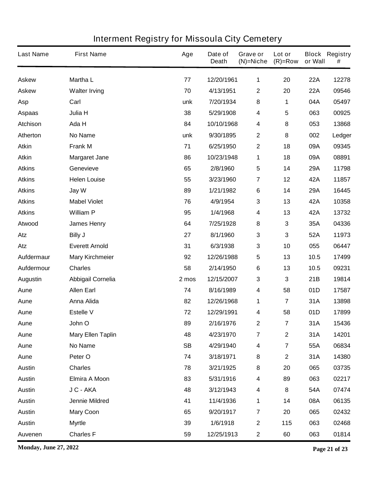| <b>Last Name</b> | <b>First Name</b>        | Age       | Date of<br><b>Death</b> | Grave or<br>$(N)$ =Niche | Lot or<br>$(R)=Row$     | or Wall    | <b>Block Registry</b><br># |
|------------------|--------------------------|-----------|-------------------------|--------------------------|-------------------------|------------|----------------------------|
| <b>Askew</b>     | <b>Martha L</b>          | 77        | 12/20/1961              | 1                        | 20                      | <b>22A</b> | 12278                      |
| <b>Askew</b>     | <b>Walter Irving</b>     | 70        | 4/13/1951               | $\mathbf 2$              | 20                      | <b>22A</b> | 09546                      |
| <b>Asp</b>       | Carl                     | unk       | 7/20/1934               | 8                        | 1                       | 04A        | 05497                      |
| <b>Aspaas</b>    | Julia H                  | 38        | 5/29/1908               | 4                        | 5                       | 063        | 00925                      |
| <b>Atchison</b>  | Ada H                    | 84        | 10/10/1968              | 4                        | 8                       | 053        | 13868                      |
| Atherton         | <b>No Name</b>           | unk       | 9/30/1895               | $\boldsymbol{2}$         | 8                       | 002        | Ledger                     |
| <b>Atkin</b>     | <b>Frank M</b>           | 71        | 6/25/1950               | $\mathbf 2$              | 18                      | 09A        | 09345                      |
| <b>Atkin</b>     | <b>Margaret Jane</b>     | 86        | 10/23/1948              | 1                        | 18                      | 09A        | 08891                      |
| <b>Atkins</b>    | Genevieve                | 65        | 2/8/1960                | $5\phantom{.0}$          | 14                      | 29A        | 11798                      |
| <b>Atkins</b>    | <b>Helen Louise</b>      | 55        | 3/23/1960               | 7                        | 12                      | 42A        | 11857                      |
| <b>Atkins</b>    | Jay W                    | 89        | 1/21/1982               | 6                        | 14                      | 29A        | 16445                      |
| <b>Atkins</b>    | <b>Mabel Violet</b>      | 76        | 4/9/1954                | 3                        | 13                      | 42A        | 10358                      |
| <b>Atkins</b>    | <b>William P</b>         | 95        | 1/4/1968                | 4                        | 13                      | 42A        | 13732                      |
| Atwood           | <b>James Henry</b>       | 64        | 7/25/1928               | 8                        | 3                       | 35A        | 04336                      |
| Atz              | <b>Billy J</b>           | 27        | 8/1/1960                | $\mathbf 3$              | 3                       | 52A        | 11973                      |
| Atz              | <b>Everett Arnold</b>    | 31        | 6/3/1938                | 3                        | 10                      | 055        | 06447                      |
| Aufdermaur       | <b>Mary Kirchmeier</b>   | 92        | 12/26/1988              | 5                        | 13                      | 10.5       | 17499                      |
| Aufdermour       | <b>Charles</b>           | 58        | 2/14/1950               | 6                        | 13                      | 10.5       | 09231                      |
| <b>Augustin</b>  | <b>Abbigail Cornelia</b> | 2 mos     | 12/15/2007              | 3                        | 3                       | 21B        | 19814                      |
| Aune             | <b>Allen Earl</b>        | 74        | 8/16/1989               | 4                        | 58                      | 01D        | 17587                      |
| Aune             | <b>Anna Alida</b>        | 82        | 12/26/1968              | 1                        | $\overline{\mathbf{7}}$ | 31A        | 13898                      |
| Aune             | <b>Estelle V</b>         | 72        | 12/29/1991              | 4                        | 58                      | 01D        | 17899                      |
| Aune             | John O                   | 89        | 2/16/1976               | $\mathbf 2$              | $\overline{\mathbf{7}}$ | 31A        | 15436                      |
| Aune             | <b>Mary Ellen Taplin</b> | 48        | 4/23/1970               | $\overline{7}$           | $\mathbf 2$             | 31A        | 14201                      |
| Aune             | <b>No Name</b>           | <b>SB</b> | 4/29/1940               | 4                        | $\overline{\mathbf{7}}$ | 55A        | 06834                      |
| Aune             | Peter O                  | 74        | 3/18/1971               | 8                        | $\mathbf 2$             | 31A        | 14380                      |
| <b>Austin</b>    | <b>Charles</b>           | 78        | 3/21/1925               | 8                        | 20                      | 065        | 03735                      |
| <b>Austin</b>    | <b>Elmira A Moon</b>     | 83        | 5/31/1916               | 4                        | 89                      | 063        | 02217                      |
| <b>Austin</b>    | J C - AKA                | 48        | 3/12/1943               | 4                        | 8                       | 54A        | 07474                      |
| <b>Austin</b>    | Jennie Mildred           | 41        | 11/4/1936               | 1                        | 14                      | 08A        | 06135                      |
| <b>Austin</b>    | <b>Mary Coon</b>         | 65        | 9/20/1917               | $\overline{7}$           | 20                      | 065        | 02432                      |
| <b>Austin</b>    | <b>Myrtle</b>            | 39        | 1/6/1918                | $\boldsymbol{2}$         | 115                     | 063        | 02468                      |
| Auvenen          | <b>Charles F</b>         | 59        | 12/25/1913              | $\mathbf 2$              | 60                      | 063        | 01814                      |

**Monday, June 27, 2022 Page 21 of 23**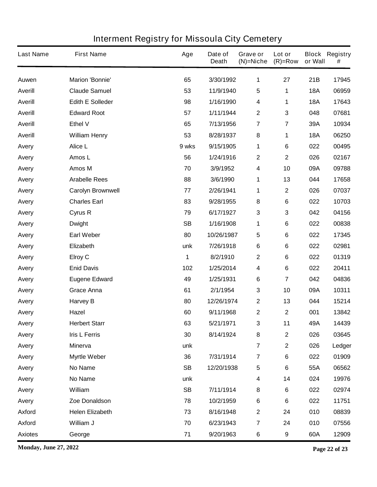| <b>Last Name</b> | <b>First Name</b>        | Age       | Date of<br><b>Death</b> | Grave or<br>(N)=Niche   | Lot or<br>$(R)=Row$ | or Wall    | <b>Block Registry</b><br># |
|------------------|--------------------------|-----------|-------------------------|-------------------------|---------------------|------------|----------------------------|
| Auwen            | <b>Marion 'Bonnie'</b>   | 65        | 3/30/1992               | 1                       | 27                  | 21B        | 17945                      |
| <b>Averill</b>   | <b>Claude Samuel</b>     | 53        | 11/9/1940               | 5                       | 1                   | <b>18A</b> | 06959                      |
| <b>Averill</b>   | <b>Edith E Solleder</b>  | 98        | 1/16/1990               | 4                       | 1                   | <b>18A</b> | 17643                      |
| <b>Averill</b>   | <b>Edward Root</b>       | 57        | 1/11/1944               | $\boldsymbol{2}$        | 3                   | 048        | 07681                      |
| <b>Averill</b>   | <b>Ethel V</b>           | 65        | 7/13/1956               | 7                       | 7                   | 39A        | 10934                      |
| <b>Averill</b>   | <b>William Henry</b>     | 53        | 8/28/1937               | ${\bf 8}$               | 1                   | <b>18A</b> | 06250                      |
| Avery            | Alice L                  | 9 wks     | 9/15/1905               | 1                       | 6                   | 022        | 00495                      |
| Avery            | Amos L                   | 56        | 1/24/1916               | $\boldsymbol{2}$        | $\mathbf 2$         | 026        | 02167                      |
| Avery            | Amos M                   | 70        | 3/9/1952                | 4                       | 10                  | 09A        | 09788                      |
| Avery            | <b>Arabelle Rees</b>     | 88        | 3/6/1990                | 1                       | 13                  | 044        | 17658                      |
| Avery            | <b>Carolyn Brownwell</b> | 77        | 2/26/1941               | 1                       | $\mathbf 2$         | 026        | 07037                      |
| Avery            | <b>Charles Earl</b>      | 83        | 9/28/1955               | ${\bf 8}$               | 6                   | 022        | 10703                      |
| Avery            | Cyrus R                  | 79        | 6/17/1927               | $\mathbf 3$             | 3                   | 042        | 04156                      |
| Avery            | <b>Dwight</b>            | <b>SB</b> | 1/16/1908               | 1                       | 6                   | 022        | 00838                      |
| Avery            | <b>Earl Weber</b>        | 80        | 10/26/1987              | 5                       | 6                   | 022        | 17345                      |
| Avery            | Elizabeth                | unk       | 7/26/1918               | $\bf 6$                 | 6                   | 022        | 02981                      |
| Avery            | <b>Elroy C</b>           | 1         | 8/2/1910                | $\boldsymbol{2}$        | 6                   | 022        | 01319                      |
| Avery            | <b>Enid Davis</b>        | 102       | 1/25/2014               | 4                       | 6                   | 022        | 20411                      |
| Avery            | <b>Eugene Edward</b>     | 49        | 1/25/1931               | $\bf 6$                 | 7                   | 042        | 04836                      |
| Avery            | <b>Grace Anna</b>        | 61        | 2/1/1954                | 3                       | 10                  | 09A        | 10311                      |
| Avery            | <b>Harvey B</b>          | 80        | 12/26/1974              | $\mathbf 2$             | 13                  | 044        | 15214                      |
| Avery            | <b>Hazel</b>             | 60        | 9/11/1968               | $\mathbf 2$             | $\mathbf 2$         | 001        | 13842                      |
| Avery            | <b>Herbert Starr</b>     | 63        | 5/21/1971               | 3                       | 11                  | 49A        | 14439                      |
| Avery            | <b>Iris L Ferris</b>     | 30        | 8/14/1924               | 8                       | $\mathbf 2$         | 026        | 03645                      |
| Avery            | <b>Minerva</b>           | unk       |                         | $\overline{7}$          | $\mathbf 2$         | 026        | Ledger                     |
| Avery            | <b>Myrtle Weber</b>      | 36        | 7/31/1914               | $\overline{\mathbf{7}}$ | 6                   | 022        | 01909                      |
| Avery            | <b>No Name</b>           | <b>SB</b> | 12/20/1938              | 5                       | 6                   | 55A        | 06562                      |
| Avery            | No Name                  | unk       |                         | 4                       | 14                  | 024        | 19976                      |
| Avery            | William                  | <b>SB</b> | 7/11/1914               | 8                       | 6                   | 022        | 02974                      |
| Avery            | Zoe Donaldson            | 78        | 10/2/1959               | 6                       | 6                   | 022        | 11751                      |
| <b>Axford</b>    | <b>Helen Elizabeth</b>   | 73        | 8/16/1948               | $\mathbf 2$             | 24                  | 010        | 08839                      |
| <b>Axford</b>    | William J                | 70        | 6/23/1943               | $\overline{\mathbf{7}}$ | 24                  | 010        | 07556                      |
| <b>Axiotes</b>   | George                   | 71        | 9/20/1963               | 6                       | 9                   | 60A        | 12909                      |

**Monday, June 27, 2022 Page 22 of 23**